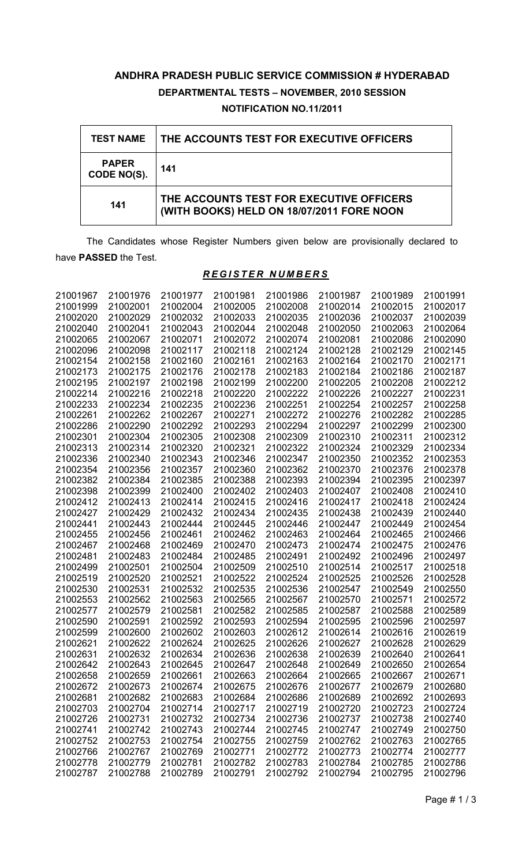# **ANDHRA PRADESH PUBLIC SERVICE COMMISSION # HYDERABAD DEPARTMENTAL TESTS – NOVEMBER, 2010 SESSION NOTIFICATION NO.11/2011**

| <b>TEST NAME</b>            | THE ACCOUNTS TEST FOR EXECUTIVE OFFICERS                                              |
|-----------------------------|---------------------------------------------------------------------------------------|
| <b>PAPER</b><br>CODE NO(S). | 141                                                                                   |
| 141                         | THE ACCOUNTS TEST FOR EXECUTIVE OFFICERS<br>(WITH BOOKS) HELD ON 18/07/2011 FORE NOON |

The Candidates whose Register Numbers given below are provisionally declared to have **PASSED** the Test.

# *R E G I S T E R N U M B E R S*

| 21001967 | 21001976 | 21001977 | 21001981 | 21001986 | 21001987 | 21001989 | 21001991 |
|----------|----------|----------|----------|----------|----------|----------|----------|
| 21001999 | 21002001 | 21002004 | 21002005 | 21002008 | 21002014 | 21002015 | 21002017 |
| 21002020 | 21002029 | 21002032 | 21002033 | 21002035 | 21002036 | 21002037 | 21002039 |
| 21002040 | 21002041 | 21002043 | 21002044 | 21002048 | 21002050 | 21002063 | 21002064 |
| 21002065 | 21002067 | 21002071 | 21002072 | 21002074 | 21002081 | 21002086 | 21002090 |
| 21002096 | 21002098 | 21002117 | 21002118 | 21002124 | 21002128 | 21002129 | 21002145 |
| 21002154 | 21002158 | 21002160 | 21002161 | 21002163 | 21002164 | 21002170 | 21002171 |
| 21002173 | 21002175 | 21002176 | 21002178 | 21002183 | 21002184 | 21002186 | 21002187 |
| 21002195 | 21002197 | 21002198 | 21002199 | 21002200 | 21002205 | 21002208 | 21002212 |
| 21002214 | 21002216 | 21002218 | 21002220 | 21002222 | 21002226 | 21002227 | 21002231 |
| 21002233 | 21002234 | 21002235 | 21002236 | 21002251 | 21002254 | 21002257 | 21002258 |
| 21002261 | 21002262 | 21002267 | 21002271 | 21002272 | 21002276 | 21002282 | 21002285 |
| 21002286 | 21002290 | 21002292 | 21002293 | 21002294 | 21002297 | 21002299 | 21002300 |
| 21002301 | 21002304 | 21002305 | 21002308 | 21002309 | 21002310 | 21002311 | 21002312 |
| 21002313 | 21002314 | 21002320 | 21002321 | 21002322 | 21002324 | 21002329 | 21002334 |
| 21002336 | 21002340 | 21002343 | 21002346 | 21002347 | 21002350 | 21002352 | 21002353 |
| 21002354 | 21002356 | 21002357 | 21002360 | 21002362 | 21002370 | 21002376 | 21002378 |
| 21002382 | 21002384 | 21002385 | 21002388 | 21002393 | 21002394 | 21002395 | 21002397 |
| 21002398 | 21002399 | 21002400 | 21002402 | 21002403 | 21002407 | 21002408 | 21002410 |
| 21002412 | 21002413 | 21002414 | 21002415 | 21002416 | 21002417 | 21002418 | 21002424 |
| 21002427 | 21002429 | 21002432 | 21002434 | 21002435 | 21002438 | 21002439 | 21002440 |
| 21002441 | 21002443 | 21002444 | 21002445 | 21002446 | 21002447 | 21002449 | 21002454 |
| 21002455 | 21002456 | 21002461 | 21002462 | 21002463 | 21002464 | 21002465 | 21002466 |
| 21002467 | 21002468 | 21002469 | 21002470 | 21002473 | 21002474 | 21002475 | 21002476 |
| 21002481 | 21002483 | 21002484 | 21002485 | 21002491 | 21002492 | 21002496 | 21002497 |
| 21002499 | 21002501 | 21002504 | 21002509 | 21002510 | 21002514 | 21002517 | 21002518 |
| 21002519 | 21002520 | 21002521 | 21002522 | 21002524 | 21002525 | 21002526 | 21002528 |
| 21002530 | 21002531 | 21002532 | 21002535 | 21002536 | 21002547 | 21002549 | 21002550 |
| 21002553 | 21002562 | 21002563 | 21002565 | 21002567 | 21002570 | 21002571 | 21002572 |
| 21002577 | 21002579 | 21002581 | 21002582 | 21002585 | 21002587 | 21002588 | 21002589 |
| 21002590 | 21002591 | 21002592 | 21002593 | 21002594 | 21002595 | 21002596 | 21002597 |
| 21002599 | 21002600 | 21002602 | 21002603 | 21002612 | 21002614 | 21002616 | 21002619 |
| 21002621 | 21002622 | 21002624 | 21002625 | 21002626 | 21002627 | 21002628 | 21002629 |
| 21002631 | 21002632 | 21002634 | 21002636 | 21002638 | 21002639 | 21002640 | 21002641 |
| 21002642 | 21002643 | 21002645 | 21002647 | 21002648 | 21002649 | 21002650 | 21002654 |
| 21002658 | 21002659 | 21002661 | 21002663 | 21002664 | 21002665 | 21002667 | 21002671 |
| 21002672 | 21002673 | 21002674 | 21002675 | 21002676 | 21002677 | 21002679 | 21002680 |
| 21002681 | 21002682 | 21002683 | 21002684 | 21002686 | 21002689 | 21002692 | 21002693 |
| 21002703 | 21002704 | 21002714 | 21002717 | 21002719 | 21002720 | 21002723 | 21002724 |
| 21002726 | 21002731 | 21002732 | 21002734 | 21002736 | 21002737 | 21002738 | 21002740 |
| 21002741 | 21002742 | 21002743 | 21002744 | 21002745 | 21002747 | 21002749 | 21002750 |
| 21002752 | 21002753 | 21002754 | 21002755 | 21002759 | 21002762 | 21002763 | 21002765 |
| 21002766 | 21002767 | 21002769 | 21002771 | 21002772 | 21002773 | 21002774 | 21002777 |
| 21002778 | 21002779 | 21002781 | 21002782 | 21002783 | 21002784 | 21002785 | 21002786 |
| 21002787 | 21002788 | 21002789 | 21002791 | 21002792 | 21002794 | 21002795 | 21002796 |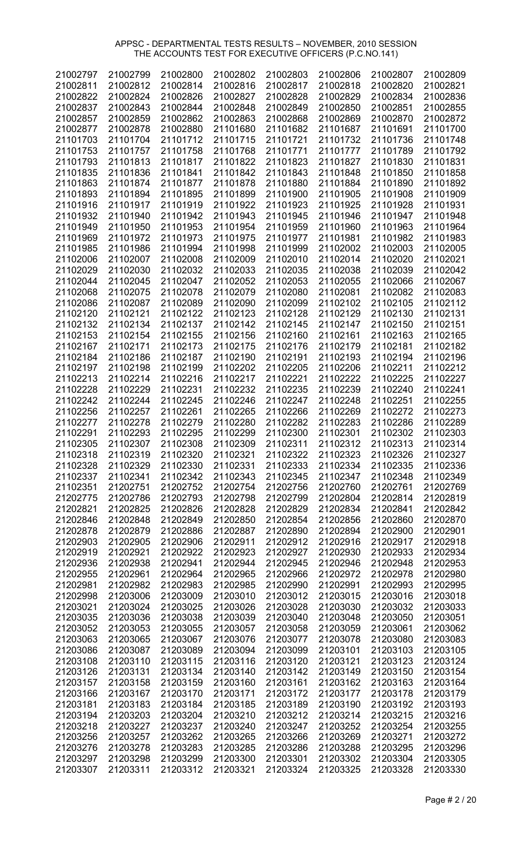| 21002797 | 21002799 | 21002800 | 21002802 | 21002803 | 21002806 | 21002807 | 21002809 |
|----------|----------|----------|----------|----------|----------|----------|----------|
|          |          |          |          |          |          |          |          |
| 21002811 | 21002812 | 21002814 | 21002816 | 21002817 | 21002818 | 21002820 | 21002821 |
| 21002822 | 21002824 | 21002826 | 21002827 | 21002828 | 21002829 | 21002834 | 21002836 |
| 21002837 | 21002843 | 21002844 | 21002848 | 21002849 | 21002850 | 21002851 | 21002855 |
| 21002857 | 21002859 | 21002862 | 21002863 | 21002868 | 21002869 | 21002870 | 21002872 |
|          |          |          |          |          |          |          |          |
| 21002877 | 21002878 | 21002880 | 21101680 | 21101682 | 21101687 | 21101691 | 21101700 |
| 21101703 | 21101704 | 21101712 | 21101715 | 21101721 | 21101732 | 21101736 | 21101748 |
| 21101753 | 21101757 | 21101758 | 21101768 | 21101771 | 21101777 | 21101789 | 21101792 |
| 21101793 | 21101813 | 21101817 | 21101822 | 21101823 | 21101827 | 21101830 | 21101831 |
|          |          |          |          |          |          |          |          |
| 21101835 | 21101836 | 21101841 | 21101842 | 21101843 | 21101848 | 21101850 | 21101858 |
| 21101863 | 21101874 | 21101877 | 21101878 | 21101880 | 21101884 | 21101890 | 21101892 |
| 21101893 | 21101894 | 21101895 | 21101899 | 21101900 | 21101905 | 21101908 | 21101909 |
| 21101916 | 21101917 | 21101919 | 21101922 | 21101923 | 21101925 | 21101928 | 21101931 |
| 21101932 | 21101940 | 21101942 | 21101943 | 21101945 | 21101946 | 21101947 | 21101948 |
|          |          |          |          |          |          |          |          |
| 21101949 | 21101950 | 21101953 | 21101954 | 21101959 | 21101960 | 21101963 | 21101964 |
| 21101969 | 21101972 | 21101973 | 21101975 | 21101977 | 21101981 | 21101982 | 21101983 |
| 21101985 | 21101986 | 21101994 | 21101998 | 21101999 | 21102002 | 21102003 | 21102005 |
| 21102006 | 21102007 | 21102008 | 21102009 | 21102010 | 21102014 | 21102020 | 21102021 |
|          | 21102030 |          |          | 21102035 |          |          |          |
| 21102029 |          | 21102032 | 21102033 |          | 21102038 | 21102039 | 21102042 |
| 21102044 | 21102045 | 21102047 | 21102052 | 21102053 | 21102055 | 21102066 | 21102067 |
| 21102068 | 21102075 | 21102078 | 21102079 | 21102080 | 21102081 | 21102082 | 21102083 |
| 21102086 | 21102087 | 21102089 | 21102090 | 21102099 | 21102102 | 21102105 | 21102112 |
| 21102120 | 21102121 | 21102122 | 21102123 | 21102128 | 21102129 | 21102130 | 21102131 |
|          |          |          |          |          |          |          |          |
| 21102132 | 21102134 | 21102137 | 21102142 | 21102145 | 21102147 | 21102150 | 21102151 |
| 21102153 | 21102154 | 21102155 | 21102156 | 21102160 | 21102161 | 21102163 | 21102165 |
| 21102167 | 21102171 | 21102173 | 21102175 | 21102176 | 21102179 | 21102181 | 21102182 |
| 21102184 | 21102186 | 21102187 | 21102190 | 21102191 | 21102193 | 21102194 | 21102196 |
| 21102197 | 21102198 | 21102199 | 21102202 | 21102205 | 21102206 | 21102211 | 21102212 |
|          |          |          |          |          |          |          |          |
| 21102213 | 21102214 | 21102216 | 21102217 | 21102221 | 21102222 | 21102225 | 21102227 |
| 21102228 | 21102229 | 21102231 | 21102232 | 21102235 | 21102239 | 21102240 | 21102241 |
| 21102242 | 21102244 | 21102245 | 21102246 | 21102247 | 21102248 | 21102251 | 21102255 |
| 21102256 | 21102257 | 21102261 | 21102265 | 21102266 | 21102269 | 21102272 | 21102273 |
| 21102277 | 21102278 | 21102279 | 21102280 | 21102282 | 21102283 | 21102286 | 21102289 |
| 21102291 | 21102293 | 21102295 | 21102299 | 21102300 | 21102301 | 21102302 | 21102303 |
| 21102305 | 21102307 | 21102308 | 21102309 | 21102311 | 21102312 | 21102313 | 21102314 |
|          |          |          |          |          |          |          |          |
| 21102318 | 21102319 | 21102320 | 21102321 | 21102322 | 21102323 | 21102326 | 21102327 |
| 21102328 | 21102329 | 21102330 | 21102331 | 21102333 | 21102334 | 21102335 | 21102336 |
| 21102337 | 21102341 | 21102342 | 21102343 | 21102345 | 21102347 | 21102348 | 21102349 |
| 21102351 | 21202751 | 21202752 | 21202754 | 21202756 | 21202760 | 21202761 | 21202769 |
| 21202775 | 21202786 | 21202793 | 21202798 | 21202799 | 21202804 | 21202814 | 21202819 |
| 21202821 | 21202825 | 21202826 | 21202828 | 21202829 | 21202834 | 21202841 | 21202842 |
|          |          |          |          |          |          |          |          |
| 21202846 | 21202848 | 21202849 | 21202850 | 21202854 | 21202856 | 21202860 | 21202870 |
| 21202878 | 21202879 | 21202886 | 21202887 | 21202890 | 21202894 | 21202900 | 21202901 |
| 21202903 | 21202905 | 21202906 | 21202911 | 21202912 | 21202916 | 21202917 | 21202918 |
| 21202919 | 21202921 | 21202922 | 21202923 | 21202927 | 21202930 | 21202933 | 21202934 |
| 21202936 | 21202938 | 21202941 | 21202944 | 21202945 | 21202946 | 21202948 | 21202953 |
|          |          | 21202964 |          |          |          | 21202978 |          |
| 21202955 | 21202961 |          | 21202965 | 21202966 | 21202972 |          | 21202980 |
| 21202981 | 21202982 | 21202983 | 21202985 | 21202990 | 21202991 | 21202993 | 21202995 |
| 21202998 | 21203006 | 21203009 | 21203010 | 21203012 | 21203015 | 21203016 | 21203018 |
| 21203021 | 21203024 | 21203025 | 21203026 | 21203028 | 21203030 | 21203032 | 21203033 |
| 21203035 | 21203036 | 21203038 | 21203039 | 21203040 | 21203048 | 21203050 | 21203051 |
| 21203052 | 21203053 | 21203055 | 21203057 | 21203058 | 21203059 | 21203061 | 21203062 |
|          |          |          |          |          |          |          |          |
| 21203063 | 21203065 | 21203067 | 21203076 | 21203077 | 21203078 | 21203080 | 21203083 |
| 21203086 | 21203087 | 21203089 | 21203094 | 21203099 | 21203101 | 21203103 | 21203105 |
| 21203108 | 21203110 | 21203115 | 21203116 | 21203120 | 21203121 | 21203123 | 21203124 |
| 21203126 | 21203131 | 21203134 | 21203140 | 21203142 | 21203149 | 21203150 | 21203154 |
| 21203157 | 21203158 | 21203159 | 21203160 | 21203161 | 21203162 | 21203163 | 21203164 |
|          |          |          |          |          |          |          |          |
| 21203166 | 21203167 | 21203170 | 21203171 | 21203172 | 21203177 | 21203178 | 21203179 |
| 21203181 | 21203183 | 21203184 | 21203185 | 21203189 | 21203190 | 21203192 | 21203193 |
| 21203194 | 21203203 | 21203204 | 21203210 | 21203212 | 21203214 | 21203215 | 21203216 |
| 21203218 | 21203227 | 21203237 | 21203240 | 21203247 | 21203252 | 21203254 | 21203255 |
| 21203256 | 21203257 | 21203262 | 21203265 | 21203266 | 21203269 | 21203271 | 21203272 |
| 21203276 | 21203278 | 21203283 | 21203285 | 21203286 | 21203288 | 21203295 | 21203296 |
|          |          |          |          |          |          |          |          |
| 21203297 | 21203298 | 21203299 | 21203300 | 21203301 | 21203302 | 21203304 | 21203305 |
| 21203307 | 21203311 | 21203312 | 21203321 | 21203324 | 21203325 | 21203328 | 21203330 |

Page # 2 / 20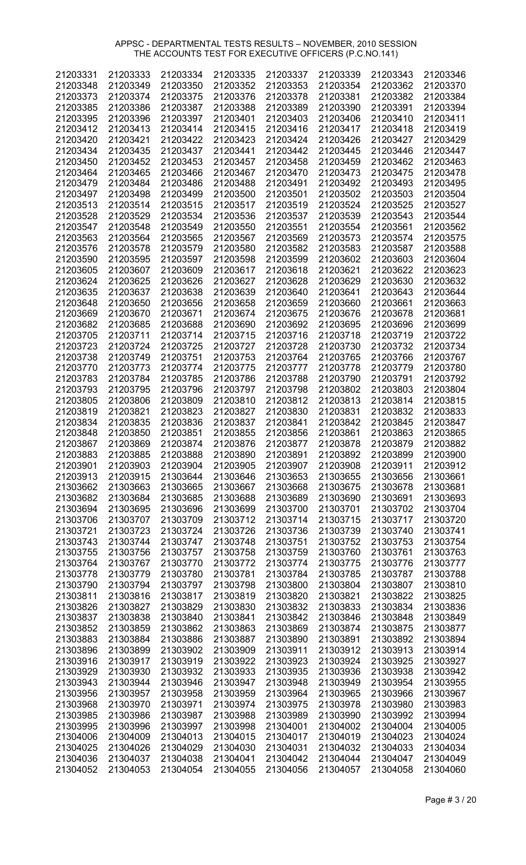| 21203331 | 21203333 | 21203334 | 21203335 | 21203337 | 21203339 | 21203343 | 21203346 |
|----------|----------|----------|----------|----------|----------|----------|----------|
| 21203348 | 21203349 | 21203350 | 21203352 | 21203353 | 21203354 | 21203362 | 21203370 |
| 21203373 | 21203374 | 21203375 | 21203376 | 21203378 | 21203381 | 21203382 | 21203384 |
|          |          |          |          |          |          |          |          |
| 21203385 | 21203386 | 21203387 | 21203388 | 21203389 | 21203390 | 21203391 | 21203394 |
| 21203395 | 21203396 | 21203397 | 21203401 | 21203403 | 21203406 | 21203410 | 21203411 |
| 21203412 | 21203413 | 21203414 | 21203415 | 21203416 | 21203417 | 21203418 | 21203419 |
|          |          |          |          |          |          |          |          |
| 21203420 | 21203421 | 21203422 | 21203423 | 21203424 | 21203426 | 21203427 | 21203429 |
| 21203434 | 21203435 | 21203437 | 21203441 | 21203442 | 21203445 | 21203446 | 21203447 |
| 21203450 | 21203452 | 21203453 | 21203457 | 21203458 | 21203459 | 21203462 | 21203463 |
| 21203464 | 21203465 | 21203466 | 21203467 | 21203470 | 21203473 | 21203475 | 21203478 |
|          |          |          |          |          |          |          |          |
| 21203479 | 21203484 | 21203486 | 21203488 | 21203491 | 21203492 | 21203493 | 21203495 |
| 21203497 | 21203498 | 21203499 | 21203500 | 21203501 | 21203502 | 21203503 | 21203504 |
| 21203513 | 21203514 | 21203515 | 21203517 | 21203519 | 21203524 | 21203525 | 21203527 |
|          |          |          |          |          |          |          |          |
| 21203528 | 21203529 | 21203534 | 21203536 | 21203537 | 21203539 | 21203543 | 21203544 |
| 21203547 | 21203548 | 21203549 | 21203550 | 21203551 | 21203554 | 21203561 | 21203562 |
| 21203563 | 21203564 | 21203565 | 21203567 | 21203569 | 21203573 | 21203574 | 21203575 |
| 21203576 | 21203578 | 21203579 | 21203580 | 21203582 | 21203583 | 21203587 | 21203588 |
|          |          |          |          |          |          |          |          |
| 21203590 | 21203595 | 21203597 | 21203598 | 21203599 | 21203602 | 21203603 | 21203604 |
| 21203605 | 21203607 | 21203609 | 21203617 | 21203618 | 21203621 | 21203622 | 21203623 |
| 21203624 | 21203625 | 21203626 | 21203627 | 21203628 | 21203629 | 21203630 | 21203632 |
| 21203635 | 21203637 | 21203638 | 21203639 | 21203640 | 21203641 | 21203643 | 21203644 |
|          |          |          |          |          |          |          |          |
| 21203648 | 21203650 | 21203656 | 21203658 | 21203659 | 21203660 | 21203661 | 21203663 |
| 21203669 | 21203670 | 21203671 | 21203674 | 21203675 | 21203676 | 21203678 | 21203681 |
| 21203682 | 21203685 | 21203688 | 21203690 | 21203692 | 21203695 | 21203696 | 21203699 |
|          |          |          |          |          |          |          |          |
| 21203705 | 21203711 | 21203714 | 21203715 | 21203716 | 21203718 | 21203719 | 21203722 |
| 21203723 | 21203724 | 21203725 | 21203727 | 21203728 | 21203730 | 21203732 | 21203734 |
| 21203738 | 21203749 | 21203751 | 21203753 | 21203764 | 21203765 | 21203766 | 21203767 |
| 21203770 | 21203773 | 21203774 | 21203775 | 21203777 | 21203778 | 21203779 | 21203780 |
|          |          |          |          |          |          |          |          |
| 21203783 | 21203784 | 21203785 | 21203786 | 21203788 | 21203790 | 21203791 | 21203792 |
| 21203793 | 21203795 | 21203796 | 21203797 | 21203798 | 21203802 | 21203803 | 21203804 |
| 21203805 | 21203806 | 21203809 | 21203810 | 21203812 | 21203813 | 21203814 | 21203815 |
| 21203819 | 21203821 | 21203823 | 21203827 | 21203830 | 21203831 | 21203832 | 21203833 |
|          |          |          |          |          |          |          |          |
| 21203834 | 21203835 | 21203836 | 21203837 | 21203841 | 21203842 | 21203845 | 21203847 |
| 21203848 | 21203850 | 21203851 | 21203855 | 21203856 | 21203861 | 21203863 | 21203865 |
| 21203867 | 21203869 | 21203874 | 21203876 | 21203877 | 21203878 | 21203879 | 21203882 |
| 21203883 | 21203885 | 21203888 | 21203890 | 21203891 | 21203892 | 21203899 | 21203900 |
|          |          |          |          |          |          |          |          |
| 21203901 | 21203903 | 21203904 | 21203905 | 21203907 | 21203908 | 21203911 | 21203912 |
| 21203913 | 21203915 | 21303644 | 21303646 | 21303653 | 21303655 | 21303656 | 21303661 |
| 21303662 | 21303663 | 21303665 | 21303667 | 21303668 | 21303675 | 21303678 | 21303681 |
| 21303682 | 21303684 | 21303685 | 21303688 | 21303689 | 21303690 | 21303691 | 21303693 |
|          |          |          |          |          |          |          |          |
| 21303694 | 21303695 | 21303696 | 21303699 | 21303700 | 21303701 | 21303702 | 21303704 |
| 21303706 | 21303707 | 21303709 | 21303712 | 21303714 | 21303715 | 21303717 | 21303720 |
| 21303721 | 21303723 | 21303724 | 21303726 | 21303736 | 21303739 | 21303740 | 21303741 |
|          |          |          |          | 21303751 |          | 21303753 |          |
| 21303743 | 21303744 | 21303747 | 21303748 |          | 21303752 |          | 21303754 |
| 21303755 | 21303756 | 21303757 | 21303758 | 21303759 | 21303760 | 21303761 | 21303763 |
| 21303764 | 21303767 | 21303770 | 21303772 | 21303774 | 21303775 | 21303776 | 21303777 |
| 21303778 | 21303779 | 21303780 | 21303781 | 21303784 | 21303785 | 21303787 | 21303788 |
|          |          |          |          |          |          |          |          |
| 21303790 | 21303794 | 21303797 | 21303798 | 21303800 | 21303804 | 21303807 | 21303810 |
| 21303811 | 21303816 | 21303817 | 21303819 | 21303820 | 21303821 | 21303822 | 21303825 |
| 21303826 | 21303827 | 21303829 | 21303830 | 21303832 | 21303833 | 21303834 | 21303836 |
| 21303837 | 21303838 | 21303840 | 21303841 | 21303842 | 21303846 | 21303848 | 21303849 |
|          |          |          |          |          |          |          |          |
| 21303852 | 21303859 | 21303862 | 21303863 | 21303869 | 21303874 | 21303875 | 21303877 |
| 21303883 | 21303884 | 21303886 | 21303887 | 21303890 | 21303891 | 21303892 | 21303894 |
| 21303896 | 21303899 | 21303902 | 21303909 | 21303911 | 21303912 | 21303913 | 21303914 |
| 21303916 | 21303917 | 21303919 | 21303922 | 21303923 | 21303924 | 21303925 | 21303927 |
|          |          |          |          |          |          |          |          |
| 21303929 | 21303930 | 21303932 | 21303933 | 21303935 | 21303936 | 21303938 | 21303942 |
| 21303943 | 21303944 | 21303946 | 21303947 | 21303948 | 21303949 | 21303954 | 21303955 |
| 21303956 | 21303957 | 21303958 | 21303959 | 21303964 | 21303965 | 21303966 | 21303967 |
| 21303968 | 21303970 | 21303971 | 21303974 | 21303975 | 21303978 | 21303980 | 21303983 |
|          |          |          |          |          |          |          |          |
| 21303985 | 21303986 | 21303987 | 21303988 | 21303989 | 21303990 | 21303992 | 21303994 |
| 21303995 | 21303996 | 21303997 | 21303998 | 21304001 | 21304002 | 21304004 | 21304005 |
| 21304006 | 21304009 | 21304013 | 21304015 | 21304017 | 21304019 | 21304023 | 21304024 |
| 21304025 | 21304026 | 21304029 | 21304030 | 21304031 | 21304032 | 21304033 | 21304034 |
|          |          |          |          |          |          |          |          |
| 21304036 | 21304037 | 21304038 | 21304041 | 21304042 | 21304044 | 21304047 | 21304049 |
| 21304052 | 21304053 | 21304054 | 21304055 | 21304056 | 21304057 | 21304058 | 21304060 |

Page # 3 / 20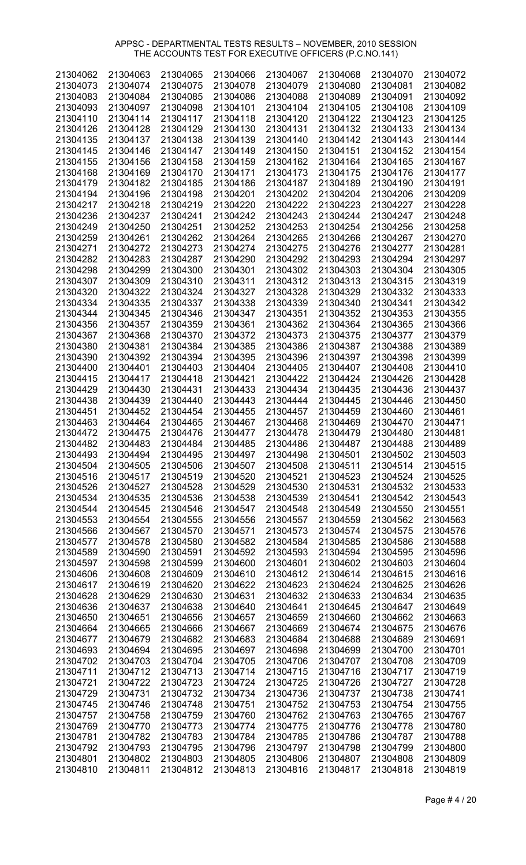| 21304062 | 21304063 | 21304065             | 21304066 | 21304067 | 21304068 | 21304070 | 21304072 |
|----------|----------|----------------------|----------|----------|----------|----------|----------|
| 21304073 | 21304074 | 21304075             | 21304078 | 21304079 | 21304080 | 21304081 | 21304082 |
| 21304083 | 21304084 | 21304085             | 21304086 | 21304088 | 21304089 | 21304091 | 21304092 |
| 21304093 | 21304097 | 21304098             | 21304101 | 21304104 | 21304105 | 21304108 | 21304109 |
| 21304110 | 21304114 | 21304117             | 21304118 | 21304120 | 21304122 | 21304123 | 21304125 |
| 21304126 | 21304128 | 21304129             | 21304130 | 21304131 | 21304132 | 21304133 | 21304134 |
| 21304135 | 21304137 | 21304138             | 21304139 | 21304140 | 21304142 | 21304143 | 21304144 |
| 21304145 | 21304146 | 21304147             | 21304149 | 21304150 | 21304151 | 21304152 | 21304154 |
| 21304155 |          |                      |          | 21304162 | 21304164 | 21304165 | 21304167 |
|          | 21304156 | 21304158             | 21304159 |          |          |          |          |
| 21304168 | 21304169 | 21304170             | 21304171 | 21304173 | 21304175 | 21304176 | 21304177 |
| 21304179 | 21304182 | 21304185             | 21304186 | 21304187 | 21304189 | 21304190 | 21304191 |
| 21304194 | 21304196 | 21304198             | 21304201 | 21304202 | 21304204 | 21304206 | 21304209 |
| 21304217 | 21304218 | 21304219             | 21304220 | 21304222 | 21304223 | 21304227 | 21304228 |
| 21304236 | 21304237 | 21304241             | 21304242 | 21304243 | 21304244 | 21304247 | 21304248 |
| 21304249 | 21304250 | 21304251             | 21304252 | 21304253 | 21304254 | 21304256 | 21304258 |
| 21304259 | 21304261 | 21304262             | 21304264 | 21304265 | 21304266 | 21304267 | 21304270 |
| 21304271 | 21304272 | 21304273             | 21304274 | 21304275 | 21304276 | 21304277 | 21304281 |
| 21304282 | 21304283 | 21304287             | 21304290 | 21304292 | 21304293 | 21304294 | 21304297 |
| 21304298 | 21304299 | 21304300             | 21304301 | 21304302 | 21304303 | 21304304 | 21304305 |
| 21304307 | 21304309 | 21304310             | 21304311 | 21304312 | 21304313 | 21304315 | 21304319 |
| 21304320 | 21304322 | 21304324             | 21304327 | 21304328 | 21304329 | 21304332 | 21304333 |
| 21304334 | 21304335 | 21304337             | 21304338 | 21304339 | 21304340 | 21304341 | 21304342 |
| 21304344 | 21304345 | 21304346             | 21304347 | 21304351 | 21304352 | 21304353 | 21304355 |
| 21304356 | 21304357 | 21304359             | 21304361 | 21304362 | 21304364 | 21304365 | 21304366 |
|          |          |                      |          |          |          |          |          |
| 21304367 | 21304368 | 21304370             | 21304372 | 21304373 | 21304375 | 21304377 | 21304379 |
| 21304380 | 21304381 | 21304384             | 21304385 | 21304386 | 21304387 | 21304388 | 21304389 |
| 21304390 | 21304392 | 21304394             | 21304395 | 21304396 | 21304397 | 21304398 | 21304399 |
| 21304400 | 21304401 | 21304403             | 21304404 | 21304405 | 21304407 | 21304408 | 21304410 |
| 21304415 | 21304417 | 21304418             | 21304421 | 21304422 | 21304424 | 21304426 | 21304428 |
| 21304429 | 21304430 | 21304431             | 21304433 | 21304434 | 21304435 | 21304436 | 21304437 |
| 21304438 | 21304439 | 21304440             | 21304443 | 21304444 | 21304445 | 21304446 | 21304450 |
| 21304451 | 21304452 | 21304454             | 21304455 | 21304457 | 21304459 | 21304460 | 21304461 |
| 21304463 | 21304464 | 21304465             | 21304467 | 21304468 | 21304469 | 21304470 | 21304471 |
| 21304472 | 21304475 | 21304476             | 21304477 | 21304478 | 21304479 | 21304480 | 21304481 |
| 21304482 | 21304483 | 21304484             | 21304485 | 21304486 | 21304487 | 21304488 | 21304489 |
| 21304493 | 21304494 | 21304495             | 21304497 | 21304498 | 21304501 | 21304502 | 21304503 |
| 21304504 | 21304505 | 21304506             | 21304507 | 21304508 | 21304511 | 21304514 | 21304515 |
| 21304516 | 21304517 | 21304519             | 21304520 | 21304521 | 21304523 | 21304524 | 21304525 |
| 21304526 | 21304527 | 21304528             | 21304529 | 21304530 | 21304531 | 21304532 | 21304533 |
| 21304534 | 21304535 | 21304536             | 21304538 | 21304539 | 21304541 | 21304542 | 21304543 |
| 21304544 | 21304545 | 21304546             | 21304547 | 21304548 | 21304549 | 21304550 | 21304551 |
| 21304553 | 21304554 | 21304555             | 21304556 | 21304557 | 21304559 | 21304562 | 21304563 |
| 21304566 | 21304567 | 21304570             | 21304571 | 21304573 | 21304574 | 21304575 | 21304576 |
| 21304577 |          |                      |          |          |          |          |          |
|          | 21304578 | 21304580<br>21304591 | 21304582 | 21304584 | 21304585 | 21304586 | 21304588 |
| 21304589 | 21304590 |                      | 21304592 | 21304593 | 21304594 | 21304595 | 21304596 |
| 21304597 | 21304598 | 21304599             | 21304600 | 21304601 | 21304602 | 21304603 | 21304604 |
| 21304606 | 21304608 | 21304609             | 21304610 | 21304612 | 21304614 | 21304615 | 21304616 |
| 21304617 | 21304619 | 21304620             | 21304622 | 21304623 | 21304624 | 21304625 | 21304626 |
| 21304628 | 21304629 | 21304630             | 21304631 | 21304632 | 21304633 | 21304634 | 21304635 |
| 21304636 | 21304637 | 21304638             | 21304640 | 21304641 | 21304645 | 21304647 | 21304649 |
| 21304650 | 21304651 | 21304656             | 21304657 | 21304659 | 21304660 | 21304662 | 21304663 |
| 21304664 | 21304665 | 21304666             | 21304667 | 21304669 | 21304674 | 21304675 | 21304676 |
| 21304677 | 21304679 | 21304682             | 21304683 | 21304684 | 21304688 | 21304689 | 21304691 |
| 21304693 | 21304694 | 21304695             | 21304697 | 21304698 | 21304699 | 21304700 | 21304701 |
| 21304702 | 21304703 | 21304704             | 21304705 | 21304706 | 21304707 | 21304708 | 21304709 |
| 21304711 | 21304712 | 21304713             | 21304714 | 21304715 | 21304716 | 21304717 | 21304719 |
| 21304721 | 21304722 | 21304723             | 21304724 | 21304725 | 21304726 | 21304727 | 21304728 |
| 21304729 | 21304731 | 21304732             | 21304734 | 21304736 | 21304737 | 21304738 | 21304741 |
| 21304745 | 21304746 | 21304748             | 21304751 | 21304752 | 21304753 | 21304754 | 21304755 |
| 21304757 | 21304758 | 21304759             | 21304760 | 21304762 | 21304763 | 21304765 | 21304767 |
| 21304769 | 21304770 | 21304773             | 21304774 | 21304775 | 21304776 | 21304778 | 21304780 |
| 21304781 | 21304782 | 21304783             | 21304784 | 21304785 | 21304786 | 21304787 | 21304788 |
| 21304792 | 21304793 | 21304795             | 21304796 | 21304797 | 21304798 | 21304799 | 21304800 |
| 21304801 | 21304802 | 21304803             | 21304805 | 21304806 | 21304807 | 21304808 | 21304809 |
| 21304810 | 21304811 | 21304812             | 21304813 | 21304816 | 21304817 | 21304818 | 21304819 |
|          |          |                      |          |          |          |          |          |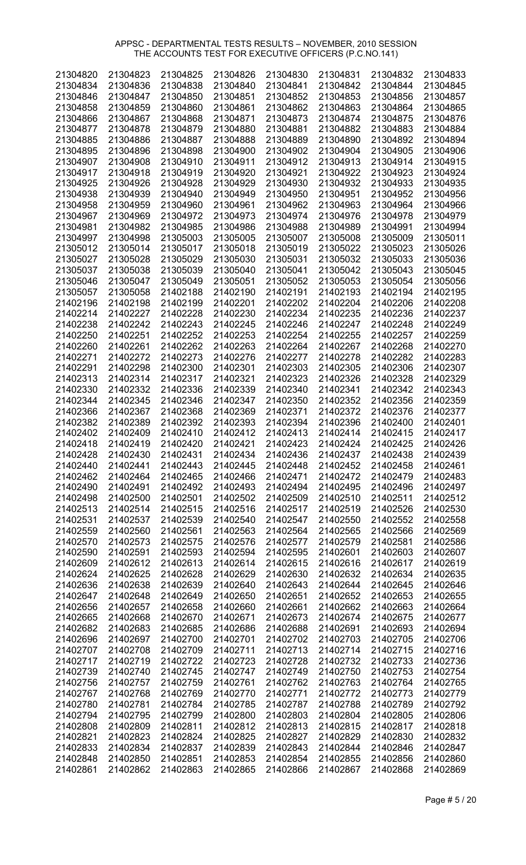| 21304820 | 21304823 | 21304825 | 21304826 | 21304830 | 21304831 | 21304832 | 21304833 |
|----------|----------|----------|----------|----------|----------|----------|----------|
| 21304834 | 21304836 | 21304838 | 21304840 | 21304841 | 21304842 | 21304844 | 21304845 |
| 21304846 | 21304847 | 21304850 | 21304851 | 21304852 | 21304853 | 21304856 | 21304857 |
| 21304858 | 21304859 | 21304860 | 21304861 | 21304862 | 21304863 | 21304864 | 21304865 |
|          |          |          |          |          |          |          |          |
| 21304866 | 21304867 | 21304868 | 21304871 | 21304873 | 21304874 | 21304875 | 21304876 |
| 21304877 | 21304878 | 21304879 | 21304880 | 21304881 | 21304882 | 21304883 | 21304884 |
| 21304885 | 21304886 | 21304887 | 21304888 | 21304889 | 21304890 | 21304892 | 21304894 |
| 21304895 | 21304896 | 21304898 | 21304900 | 21304902 | 21304904 | 21304905 | 21304906 |
| 21304907 | 21304908 | 21304910 | 21304911 | 21304912 | 21304913 | 21304914 | 21304915 |
| 21304917 | 21304918 | 21304919 | 21304920 | 21304921 | 21304922 | 21304923 | 21304924 |
| 21304925 | 21304926 | 21304928 | 21304929 | 21304930 | 21304932 | 21304933 | 21304935 |
|          |          |          |          |          |          |          |          |
| 21304938 | 21304939 | 21304940 | 21304949 | 21304950 | 21304951 | 21304952 | 21304956 |
| 21304958 | 21304959 | 21304960 | 21304961 | 21304962 | 21304963 | 21304964 | 21304966 |
| 21304967 | 21304969 | 21304972 | 21304973 | 21304974 | 21304976 | 21304978 | 21304979 |
| 21304981 | 21304982 | 21304985 | 21304986 | 21304988 | 21304989 | 21304991 | 21304994 |
| 21304997 | 21304998 | 21305003 | 21305005 | 21305007 | 21305008 | 21305009 | 21305011 |
| 21305012 | 21305014 | 21305017 | 21305018 | 21305019 | 21305022 | 21305023 | 21305026 |
| 21305027 | 21305028 | 21305029 | 21305030 | 21305031 | 21305032 | 21305033 | 21305036 |
|          |          |          |          |          |          |          |          |
| 21305037 | 21305038 | 21305039 | 21305040 | 21305041 | 21305042 | 21305043 | 21305045 |
| 21305046 | 21305047 | 21305049 | 21305051 | 21305052 | 21305053 | 21305054 | 21305056 |
| 21305057 | 21305058 | 21402188 | 21402190 | 21402191 | 21402193 | 21402194 | 21402195 |
| 21402196 | 21402198 | 21402199 | 21402201 | 21402202 | 21402204 | 21402206 | 21402208 |
| 21402214 | 21402227 | 21402228 | 21402230 | 21402234 | 21402235 | 21402236 | 21402237 |
| 21402238 | 21402242 | 21402243 | 21402245 | 21402246 | 21402247 | 21402248 | 21402249 |
| 21402250 | 21402251 | 21402252 | 21402253 | 21402254 | 21402255 | 21402257 | 21402259 |
|          |          |          |          |          |          |          |          |
| 21402260 | 21402261 | 21402262 | 21402263 | 21402264 | 21402267 | 21402268 | 21402270 |
| 21402271 | 21402272 | 21402273 | 21402276 | 21402277 | 21402278 | 21402282 | 21402283 |
| 21402291 | 21402298 | 21402300 | 21402301 | 21402303 | 21402305 | 21402306 | 21402307 |
| 21402313 | 21402314 | 21402317 | 21402321 | 21402323 | 21402326 | 21402328 | 21402329 |
| 21402330 | 21402332 | 21402336 | 21402339 | 21402340 | 21402341 | 21402342 | 21402343 |
| 21402344 | 21402345 | 21402346 | 21402347 | 21402350 | 21402352 | 21402356 | 21402359 |
| 21402366 | 21402367 | 21402368 | 21402369 | 21402371 | 21402372 | 21402376 | 21402377 |
|          |          |          |          |          |          |          |          |
| 21402382 | 21402389 | 21402392 | 21402393 | 21402394 | 21402396 | 21402400 | 21402401 |
| 21402402 | 21402409 | 21402410 | 21402412 | 21402413 | 21402414 | 21402415 | 21402417 |
| 21402418 | 21402419 | 21402420 | 21402421 | 21402423 | 21402424 | 21402425 | 21402426 |
| 21402428 | 21402430 | 21402431 | 21402434 | 21402436 | 21402437 | 21402438 | 21402439 |
| 21402440 | 21402441 | 21402443 | 21402445 | 21402448 | 21402452 | 21402458 | 21402461 |
| 21402462 | 21402464 | 21402465 | 21402466 | 21402471 | 21402472 | 21402479 | 21402483 |
| 21402490 | 21402491 | 21402492 | 21402493 | 21402494 | 21402495 | 21402496 | 21402497 |
| 21402498 | 21402500 | 21402501 | 21402502 | 21402509 | 21402510 | 21402511 | 21402512 |
|          |          |          |          |          |          |          |          |
| 21402513 | 21402514 | 21402515 | 21402516 | 21402517 | 21402519 | 21402526 | 21402530 |
| 21402531 | 21402537 | 21402539 | 21402540 | 21402547 | 21402550 | 21402552 | 21402558 |
| 21402559 | 21402560 | 21402561 | 21402563 | 21402564 | 21402565 | 21402566 | 21402569 |
| 21402570 | 21402573 | 21402575 | 21402576 | 21402577 | 21402579 | 21402581 | 21402586 |
| 21402590 | 21402591 | 21402593 | 21402594 | 21402595 | 21402601 | 21402603 | 21402607 |
| 21402609 | 21402612 | 21402613 | 21402614 | 21402615 | 21402616 | 21402617 | 21402619 |
| 21402624 | 21402625 | 21402628 | 21402629 | 21402630 | 21402632 | 21402634 | 21402635 |
| 21402636 | 21402638 | 21402639 | 21402640 | 21402643 | 21402644 | 21402645 | 21402646 |
|          |          |          |          |          |          |          |          |
| 21402647 | 21402648 | 21402649 | 21402650 | 21402651 | 21402652 | 21402653 | 21402655 |
| 21402656 | 21402657 | 21402658 | 21402660 | 21402661 | 21402662 | 21402663 | 21402664 |
| 21402665 | 21402668 | 21402670 | 21402671 | 21402673 | 21402674 | 21402675 | 21402677 |
| 21402682 | 21402683 | 21402685 | 21402686 | 21402688 | 21402691 | 21402693 | 21402694 |
| 21402696 | 21402697 | 21402700 | 21402701 | 21402702 | 21402703 | 21402705 | 21402706 |
| 21402707 | 21402708 | 21402709 | 21402711 | 21402713 | 21402714 | 21402715 | 21402716 |
| 21402717 | 21402719 | 21402722 | 21402723 | 21402728 | 21402732 | 21402733 | 21402736 |
| 21402739 | 21402740 | 21402745 | 21402747 | 21402749 | 21402750 | 21402753 | 21402754 |
|          |          |          |          |          |          |          |          |
| 21402756 | 21402757 | 21402759 | 21402761 | 21402762 | 21402763 | 21402764 | 21402765 |
| 21402767 | 21402768 | 21402769 | 21402770 | 21402771 | 21402772 | 21402773 | 21402779 |
| 21402780 | 21402781 | 21402784 | 21402785 | 21402787 | 21402788 | 21402789 | 21402792 |
| 21402794 | 21402795 | 21402799 | 21402800 | 21402803 | 21402804 | 21402805 | 21402806 |
| 21402808 | 21402809 | 21402811 | 21402812 | 21402813 | 21402815 | 21402817 | 21402818 |
| 21402821 | 21402823 | 21402824 | 21402825 | 21402827 | 21402829 | 21402830 | 21402832 |
| 21402833 | 21402834 | 21402837 | 21402839 | 21402843 | 21402844 | 21402846 | 21402847 |
| 21402848 | 21402850 | 21402851 | 21402853 | 21402854 | 21402855 | 21402856 | 21402860 |
|          |          |          |          |          |          |          |          |
| 21402861 | 21402862 | 21402863 | 21402865 | 21402866 | 21402867 | 21402868 | 21402869 |

Page # 5 / 20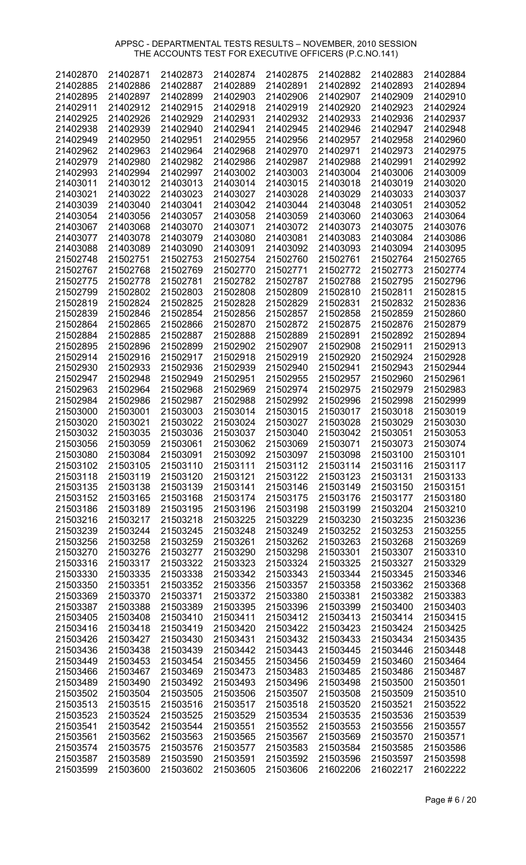| 21402870 | 21402871 | 21402873 | 21402874 | 21402875 | 21402882 | 21402883 | 21402884 |
|----------|----------|----------|----------|----------|----------|----------|----------|
| 21402885 | 21402886 | 21402887 | 21402889 | 21402891 | 21402892 | 21402893 | 21402894 |
| 21402895 | 21402897 | 21402899 | 21402903 | 21402906 | 21402907 | 21402909 | 21402910 |
| 21402911 | 21402912 | 21402915 | 21402918 | 21402919 | 21402920 | 21402923 | 21402924 |
| 21402925 | 21402926 | 21402929 | 21402931 | 21402932 | 21402933 | 21402936 | 21402937 |
|          |          |          |          |          |          |          |          |
| 21402938 | 21402939 | 21402940 | 21402941 | 21402945 | 21402946 | 21402947 | 21402948 |
| 21402949 | 21402950 | 21402951 | 21402955 | 21402956 | 21402957 | 21402958 | 21402960 |
| 21402962 | 21402963 | 21402964 | 21402968 | 21402970 | 21402971 | 21402973 | 21402975 |
| 21402979 | 21402980 | 21402982 | 21402986 | 21402987 | 21402988 | 21402991 | 21402992 |
| 21402993 | 21402994 | 21402997 | 21403002 | 21403003 | 21403004 | 21403006 | 21403009 |
| 21403011 | 21403012 | 21403013 | 21403014 | 21403015 | 21403018 | 21403019 | 21403020 |
| 21403021 | 21403022 | 21403023 | 21403027 | 21403028 | 21403029 | 21403033 | 21403037 |
| 21403039 | 21403040 | 21403041 | 21403042 | 21403044 | 21403048 | 21403051 | 21403052 |
| 21403054 | 21403056 | 21403057 | 21403058 | 21403059 | 21403060 | 21403063 | 21403064 |
| 21403067 | 21403068 | 21403070 | 21403071 | 21403072 | 21403073 | 21403075 | 21403076 |
| 21403077 | 21403078 | 21403079 | 21403080 | 21403081 | 21403083 | 21403084 | 21403086 |
| 21403088 | 21403089 | 21403090 | 21403091 | 21403092 | 21403093 | 21403094 | 21403095 |
|          |          |          |          |          |          |          |          |
| 21502748 | 21502751 | 21502753 | 21502754 | 21502760 | 21502761 | 21502764 | 21502765 |
| 21502767 | 21502768 | 21502769 | 21502770 | 21502771 | 21502772 | 21502773 | 21502774 |
| 21502775 | 21502778 | 21502781 | 21502782 | 21502787 | 21502788 | 21502795 | 21502796 |
| 21502799 | 21502802 | 21502803 | 21502808 | 21502809 | 21502810 | 21502811 | 21502815 |
| 21502819 | 21502824 | 21502825 | 21502828 | 21502829 | 21502831 | 21502832 | 21502836 |
| 21502839 | 21502846 | 21502854 | 21502856 | 21502857 | 21502858 | 21502859 | 21502860 |
| 21502864 | 21502865 | 21502866 | 21502870 | 21502872 | 21502875 | 21502876 | 21502879 |
| 21502884 | 21502885 | 21502887 | 21502888 | 21502889 | 21502891 | 21502892 | 21502894 |
| 21502895 | 21502896 | 21502899 | 21502902 | 21502907 | 21502908 | 21502911 | 21502913 |
| 21502914 | 21502916 | 21502917 | 21502918 | 21502919 | 21502920 | 21502924 | 21502928 |
| 21502930 | 21502933 | 21502936 | 21502939 | 21502940 | 21502941 | 21502943 | 21502944 |
|          |          |          |          |          | 21502957 |          |          |
| 21502947 | 21502948 | 21502949 | 21502951 | 21502955 |          | 21502960 | 21502961 |
| 21502963 | 21502964 | 21502968 | 21502969 | 21502974 | 21502975 | 21502979 | 21502983 |
| 21502984 | 21502986 | 21502987 | 21502988 | 21502992 | 21502996 | 21502998 | 21502999 |
| 21503000 | 21503001 | 21503003 | 21503014 | 21503015 | 21503017 | 21503018 | 21503019 |
| 21503020 | 21503021 | 21503022 | 21503024 | 21503027 | 21503028 | 21503029 | 21503030 |
| 21503032 | 21503035 | 21503036 | 21503037 | 21503040 | 21503042 | 21503051 | 21503053 |
| 21503056 | 21503059 | 21503061 | 21503062 | 21503069 | 21503071 | 21503073 | 21503074 |
| 21503080 | 21503084 | 21503091 | 21503092 | 21503097 | 21503098 | 21503100 | 21503101 |
| 21503102 | 21503105 | 21503110 | 21503111 | 21503112 | 21503114 | 21503116 | 21503117 |
| 21503118 | 21503119 | 21503120 | 21503121 | 21503122 | 21503123 | 21503131 | 21503133 |
| 21503135 | 21503138 | 21503139 | 21503141 | 21503146 | 21503149 | 21503150 | 21503151 |
| 21503152 | 21503165 | 21503168 | 21503174 | 21503175 | 21503176 | 21503177 | 21503180 |
| 21503186 | 21503189 | 21503195 | 21503196 | 21503198 | 21503199 | 21503204 | 21503210 |
|          |          |          |          |          |          |          |          |
| 21503216 | 21503217 | 21503218 | 21503225 | 21503229 | 21503230 | 21503235 | 21503236 |
| 21503239 | 21503244 | 21503245 | 21503248 | 21503249 | 21503252 | 21503253 | 21503255 |
| 21503256 | 21503258 | 21503259 | 21503261 | 21503262 | 21503263 | 21503268 | 21503269 |
| 21503270 | 21503276 | 21503277 | 21503290 | 21503298 | 21503301 | 21503307 | 21503310 |
| 21503316 | 21503317 | 21503322 | 21503323 | 21503324 | 21503325 | 21503327 | 21503329 |
| 21503330 | 21503335 | 21503338 | 21503342 | 21503343 | 21503344 | 21503345 | 21503346 |
| 21503350 | 21503351 | 21503352 | 21503356 | 21503357 | 21503358 | 21503362 | 21503368 |
| 21503369 | 21503370 | 21503371 | 21503372 | 21503380 | 21503381 | 21503382 | 21503383 |
| 21503387 | 21503388 | 21503389 | 21503395 | 21503396 | 21503399 | 21503400 | 21503403 |
| 21503405 | 21503408 | 21503410 | 21503411 | 21503412 | 21503413 | 21503414 | 21503415 |
| 21503416 | 21503418 | 21503419 | 21503420 | 21503422 | 21503423 | 21503424 | 21503425 |
| 21503426 | 21503427 | 21503430 | 21503431 | 21503432 | 21503433 | 21503434 | 21503435 |
| 21503436 | 21503438 | 21503439 | 21503442 | 21503443 | 21503445 | 21503446 | 21503448 |
|          |          |          |          |          |          |          |          |
| 21503449 | 21503453 | 21503454 | 21503455 | 21503456 | 21503459 | 21503460 | 21503464 |
| 21503466 | 21503467 | 21503469 | 21503473 | 21503483 | 21503485 | 21503486 | 21503487 |
| 21503489 | 21503490 | 21503492 | 21503493 | 21503496 | 21503498 | 21503500 | 21503501 |
| 21503502 | 21503504 | 21503505 | 21503506 | 21503507 | 21503508 | 21503509 | 21503510 |
| 21503513 | 21503515 | 21503516 | 21503517 | 21503518 | 21503520 | 21503521 | 21503522 |
| 21503523 | 21503524 | 21503525 | 21503529 | 21503534 | 21503535 | 21503536 | 21503539 |
| 21503541 | 21503542 | 21503544 | 21503551 | 21503552 | 21503553 | 21503556 | 21503557 |
| 21503561 | 21503562 | 21503563 | 21503565 | 21503567 | 21503569 | 21503570 | 21503571 |
| 21503574 | 21503575 | 21503576 | 21503577 | 21503583 | 21503584 | 21503585 | 21503586 |
| 21503587 | 21503589 | 21503590 | 21503591 | 21503592 | 21503596 | 21503597 | 21503598 |
| 21503599 | 21503600 | 21503602 | 21503605 | 21503606 | 21602206 | 21602217 | 21602222 |
|          |          |          |          |          |          |          |          |

Page # 6 / 20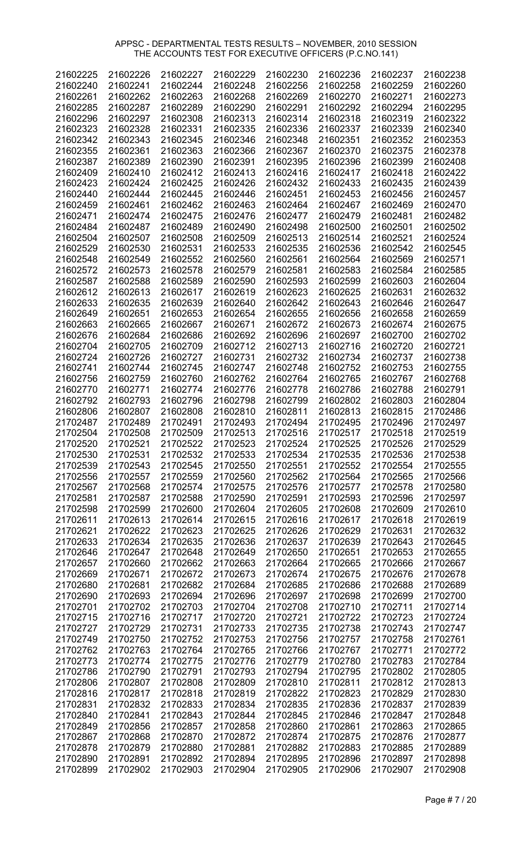| 21602225 | 21602226 | 21602227 | 21602229 | 21602230 | 21602236 | 21602237 | 21602238 |
|----------|----------|----------|----------|----------|----------|----------|----------|
| 21602240 | 21602241 | 21602244 | 21602248 | 21602256 | 21602258 | 21602259 | 21602260 |
| 21602261 | 21602262 | 21602263 | 21602268 | 21602269 | 21602270 | 21602271 | 21602273 |
| 21602285 | 21602287 | 21602289 | 21602290 | 21602291 | 21602292 | 21602294 | 21602295 |
| 21602296 | 21602297 | 21602308 | 21602313 | 21602314 | 21602318 | 21602319 | 21602322 |
|          |          |          |          |          |          |          |          |
| 21602323 | 21602328 | 21602331 | 21602335 | 21602336 | 21602337 | 21602339 | 21602340 |
| 21602342 | 21602343 | 21602345 | 21602346 | 21602348 | 21602351 | 21602352 | 21602353 |
| 21602355 | 21602361 | 21602363 | 21602366 | 21602367 | 21602370 | 21602375 | 21602378 |
| 21602387 | 21602389 | 21602390 | 21602391 | 21602395 | 21602396 | 21602399 | 21602408 |
| 21602409 | 21602410 | 21602412 | 21602413 | 21602416 | 21602417 | 21602418 | 21602422 |
| 21602423 | 21602424 | 21602425 | 21602426 | 21602432 | 21602433 | 21602435 | 21602439 |
| 21602440 | 21602444 | 21602445 | 21602446 | 21602451 | 21602453 | 21602456 | 21602457 |
| 21602459 | 21602461 | 21602462 | 21602463 | 21602464 | 21602467 | 21602469 | 21602470 |
| 21602471 | 21602474 | 21602475 | 21602476 | 21602477 | 21602479 | 21602481 | 21602482 |
| 21602484 | 21602487 | 21602489 | 21602490 | 21602498 | 21602500 | 21602501 | 21602502 |
| 21602504 | 21602507 | 21602508 | 21602509 | 21602513 | 21602514 | 21602521 | 21602524 |
|          |          |          |          |          |          |          |          |
| 21602529 | 21602530 | 21602531 | 21602533 | 21602535 | 21602536 | 21602542 | 21602545 |
| 21602548 | 21602549 | 21602552 | 21602560 | 21602561 | 21602564 | 21602569 | 21602571 |
| 21602572 | 21602573 | 21602578 | 21602579 | 21602581 | 21602583 | 21602584 | 21602585 |
| 21602587 | 21602588 | 21602589 | 21602590 | 21602593 | 21602599 | 21602603 | 21602604 |
| 21602612 | 21602613 | 21602617 | 21602619 | 21602623 | 21602625 | 21602631 | 21602632 |
| 21602633 | 21602635 | 21602639 | 21602640 | 21602642 | 21602643 | 21602646 | 21602647 |
| 21602649 | 21602651 | 21602653 | 21602654 | 21602655 | 21602656 | 21602658 | 21602659 |
| 21602663 | 21602665 | 21602667 | 21602671 | 21602672 | 21602673 | 21602674 | 21602675 |
| 21602676 | 21602684 | 21602686 | 21602692 | 21602696 | 21602697 | 21602700 | 21602702 |
| 21602704 | 21602705 | 21602709 | 21602712 | 21602713 | 21602716 | 21602720 | 21602721 |
| 21602724 | 21602726 | 21602727 | 21602731 | 21602732 | 21602734 | 21602737 | 21602738 |
| 21602741 | 21602744 | 21602745 | 21602747 | 21602748 | 21602752 | 21602753 | 21602755 |
|          |          |          |          |          |          |          |          |
| 21602756 | 21602759 | 21602760 | 21602762 | 21602764 | 21602765 | 21602767 | 21602768 |
| 21602770 | 21602771 | 21602774 | 21602776 | 21602778 | 21602786 | 21602788 | 21602791 |
| 21602792 | 21602793 | 21602796 | 21602798 | 21602799 | 21602802 | 21602803 | 21602804 |
| 21602806 | 21602807 | 21602808 | 21602810 | 21602811 | 21602813 | 21602815 | 21702486 |
| 21702487 | 21702489 | 21702491 | 21702493 | 21702494 | 21702495 | 21702496 | 21702497 |
| 21702504 | 21702508 | 21702509 | 21702513 | 21702516 | 21702517 | 21702518 | 21702519 |
| 21702520 | 21702521 | 21702522 | 21702523 | 21702524 | 21702525 | 21702526 | 21702529 |
| 21702530 | 21702531 | 21702532 | 21702533 | 21702534 | 21702535 | 21702536 | 21702538 |
| 21702539 | 21702543 | 21702545 | 21702550 | 21702551 | 21702552 | 21702554 | 21702555 |
| 21702556 | 21702557 | 21702559 | 21702560 | 21702562 | 21702564 | 21702565 | 21702566 |
| 21702567 | 21702568 | 21702574 | 21702575 | 21702576 | 21702577 | 21702578 | 21702580 |
| 21702581 | 21702587 | 21702588 | 21702590 | 21702591 | 21702593 | 21702596 | 21702597 |
|          |          |          |          |          |          |          |          |
| 21702598 | 21702599 | 21702600 | 21702604 | 21702605 | 21702608 | 21702609 | 21702610 |
| 21702611 | 21702613 | 21702614 | 21702615 | 21702616 | 21702617 | 21702618 | 21702619 |
| 21702621 | 21702622 | 21702623 | 21702625 | 21702626 | 21702629 | 21702631 | 21702632 |
| 21702633 | 21702634 | 21702635 | 21702636 | 21702637 | 21702639 | 21702643 | 21702645 |
| 21702646 | 21702647 | 21702648 | 21702649 | 21702650 | 21702651 | 21702653 | 21702655 |
| 21702657 | 21702660 | 21702662 | 21702663 | 21702664 | 21702665 | 21702666 | 21702667 |
| 21702669 | 21702671 | 21702672 | 21702673 | 21702674 | 21702675 | 21702676 | 21702678 |
| 21702680 | 21702681 | 21702682 | 21702684 | 21702685 | 21702686 | 21702688 | 21702689 |
| 21702690 | 21702693 | 21702694 | 21702696 | 21702697 | 21702698 | 21702699 | 21702700 |
| 21702701 | 21702702 | 21702703 | 21702704 | 21702708 | 21702710 | 21702711 | 21702714 |
| 21702715 | 21702716 | 21702717 | 21702720 | 21702721 | 21702722 | 21702723 | 21702724 |
| 21702727 | 21702729 | 21702731 | 21702733 | 21702735 | 21702738 | 21702743 | 21702747 |
| 21702749 | 21702750 | 21702752 | 21702753 | 21702756 | 21702757 | 21702758 | 21702761 |
|          |          |          |          |          |          |          |          |
| 21702762 | 21702763 | 21702764 | 21702765 | 21702766 | 21702767 | 21702771 | 21702772 |
| 21702773 | 21702774 | 21702775 | 21702776 | 21702779 | 21702780 | 21702783 | 21702784 |
| 21702786 | 21702790 | 21702791 | 21702793 | 21702794 | 21702795 | 21702802 | 21702805 |
| 21702806 | 21702807 | 21702808 | 21702809 | 21702810 | 21702811 | 21702812 | 21702813 |
| 21702816 | 21702817 | 21702818 | 21702819 | 21702822 | 21702823 | 21702829 | 21702830 |
| 21702831 | 21702832 | 21702833 | 21702834 | 21702835 | 21702836 | 21702837 | 21702839 |
| 21702840 | 21702841 | 21702843 | 21702844 | 21702845 | 21702846 | 21702847 | 21702848 |
| 21702849 | 21702856 | 21702857 | 21702858 | 21702860 | 21702861 | 21702863 | 21702865 |
| 21702867 | 21702868 | 21702870 | 21702872 | 21702874 | 21702875 | 21702876 | 21702877 |
| 21702878 | 21702879 | 21702880 | 21702881 | 21702882 | 21702883 | 21702885 | 21702889 |
| 21702890 | 21702891 | 21702892 | 21702894 | 21702895 | 21702896 | 21702897 | 21702898 |
| 21702899 | 21702902 | 21702903 | 21702904 | 21702905 | 21702906 | 21702907 | 21702908 |
|          |          |          |          |          |          |          |          |

Page # 7 / 20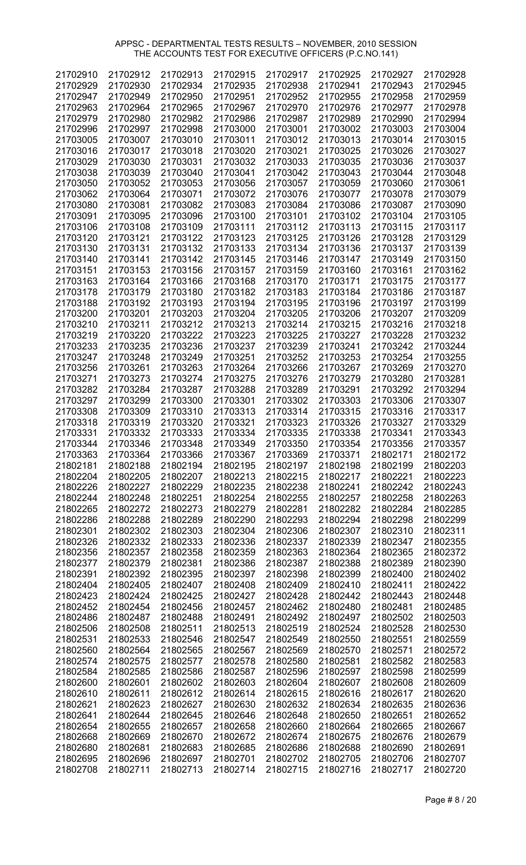| 21702910 | 21702912 | 21702913 | 21702915 | 21702917 | 21702925 | 21702927 | 21702928 |
|----------|----------|----------|----------|----------|----------|----------|----------|
| 21702929 | 21702930 | 21702934 | 21702935 | 21702938 | 21702941 | 21702943 | 21702945 |
| 21702947 | 21702949 | 21702950 | 21702951 | 21702952 | 21702955 | 21702958 | 21702959 |
| 21702963 | 21702964 | 21702965 | 21702967 | 21702970 | 21702976 | 21702977 | 21702978 |
| 21702979 | 21702980 | 21702982 | 21702986 | 21702987 | 21702989 | 21702990 | 21702994 |
| 21702996 | 21702997 | 21702998 | 21703000 | 21703001 | 21703002 | 21703003 | 21703004 |
| 21703005 | 21703007 | 21703010 | 21703011 | 21703012 | 21703013 | 21703014 | 21703015 |
|          |          |          |          |          |          |          |          |
| 21703016 | 21703017 | 21703018 | 21703020 | 21703021 | 21703025 | 21703026 | 21703027 |
| 21703029 | 21703030 | 21703031 | 21703032 | 21703033 | 21703035 | 21703036 | 21703037 |
| 21703038 | 21703039 | 21703040 | 21703041 | 21703042 | 21703043 | 21703044 | 21703048 |
| 21703050 | 21703052 | 21703053 | 21703056 | 21703057 | 21703059 | 21703060 | 21703061 |
| 21703062 | 21703064 | 21703071 | 21703072 | 21703076 | 21703077 | 21703078 | 21703079 |
| 21703080 | 21703081 | 21703082 | 21703083 | 21703084 | 21703086 | 21703087 | 21703090 |
| 21703091 | 21703095 | 21703096 | 21703100 | 21703101 | 21703102 | 21703104 | 21703105 |
| 21703106 | 21703108 | 21703109 | 21703111 | 21703112 | 21703113 | 21703115 | 21703117 |
| 21703120 | 21703121 | 21703122 | 21703123 | 21703125 | 21703126 | 21703128 | 21703129 |
| 21703130 | 21703131 | 21703132 | 21703133 | 21703134 | 21703136 | 21703137 | 21703139 |
| 21703140 | 21703141 | 21703142 | 21703145 | 21703146 | 21703147 | 21703149 | 21703150 |
| 21703151 | 21703153 | 21703156 | 21703157 | 21703159 | 21703160 | 21703161 | 21703162 |
| 21703163 | 21703164 | 21703166 | 21703168 | 21703170 | 21703171 | 21703175 | 21703177 |
| 21703178 | 21703179 | 21703180 | 21703182 | 21703183 | 21703184 | 21703186 | 21703187 |
|          |          |          |          |          |          |          |          |
| 21703188 | 21703192 | 21703193 | 21703194 | 21703195 | 21703196 | 21703197 | 21703199 |
| 21703200 | 21703201 | 21703203 | 21703204 | 21703205 | 21703206 | 21703207 | 21703209 |
| 21703210 | 21703211 | 21703212 | 21703213 | 21703214 | 21703215 | 21703216 | 21703218 |
| 21703219 | 21703220 | 21703222 | 21703223 | 21703225 | 21703227 | 21703228 | 21703232 |
| 21703233 | 21703235 | 21703236 | 21703237 | 21703239 | 21703241 | 21703242 | 21703244 |
| 21703247 | 21703248 | 21703249 | 21703251 | 21703252 | 21703253 | 21703254 | 21703255 |
| 21703256 | 21703261 | 21703263 | 21703264 | 21703266 | 21703267 | 21703269 | 21703270 |
| 21703271 | 21703273 | 21703274 | 21703275 | 21703276 | 21703279 | 21703280 | 21703281 |
| 21703282 | 21703284 | 21703287 | 21703288 | 21703289 | 21703291 | 21703292 | 21703294 |
| 21703297 | 21703299 | 21703300 | 21703301 | 21703302 | 21703303 | 21703306 | 21703307 |
| 21703308 | 21703309 | 21703310 | 21703313 | 21703314 | 21703315 | 21703316 | 21703317 |
| 21703318 | 21703319 | 21703320 | 21703321 | 21703323 | 21703326 | 21703327 | 21703329 |
| 21703331 | 21703332 | 21703333 | 21703334 | 21703335 | 21703338 | 21703341 | 21703343 |
| 21703344 | 21703346 | 21703348 | 21703349 | 21703350 | 21703354 | 21703356 | 21703357 |
| 21703363 | 21703364 | 21703366 | 21703367 | 21703369 | 21703371 | 21802171 | 21802172 |
|          | 21802188 | 21802194 | 21802195 |          | 21802198 | 21802199 | 21802203 |
| 21802181 |          |          |          | 21802197 |          |          |          |
| 21802204 | 21802205 | 21802207 | 21802213 | 21802215 | 21802217 | 21802221 | 21802223 |
| 21802226 | 21802227 | 21802229 | 21802235 | 21802238 | 21802241 | 21802242 | 21802243 |
| 21802244 | 21802248 | 21802251 | 21802254 | 21802255 | 21802257 | 21802258 | 21802263 |
| 21802265 | 21802272 | 21802273 | 21802279 | 21802281 | 21802282 | 21802284 | 21802285 |
| 21802286 | 21802288 | 21802289 | 21802290 | 21802293 | 21802294 | 21802298 | 21802299 |
| 21802301 | 21802302 | 21802303 | 21802304 | 21802306 | 21802307 | 21802310 | 21802311 |
| 21802326 | 21802332 | 21802333 | 21802336 | 21802337 | 21802339 | 21802347 | 21802355 |
| 21802356 | 21802357 | 21802358 | 21802359 | 21802363 | 21802364 | 21802365 | 21802372 |
| 21802377 | 21802379 | 21802381 | 21802386 | 21802387 | 21802388 | 21802389 | 21802390 |
| 21802391 | 21802392 | 21802395 | 21802397 | 21802398 | 21802399 | 21802400 | 21802402 |
| 21802404 | 21802405 | 21802407 | 21802408 | 21802409 | 21802410 | 21802411 | 21802422 |
| 21802423 | 21802424 | 21802425 | 21802427 | 21802428 | 21802442 | 21802443 | 21802448 |
| 21802452 | 21802454 | 21802456 | 21802457 | 21802462 | 21802480 | 21802481 | 21802485 |
| 21802486 | 21802487 | 21802488 | 21802491 | 21802492 | 21802497 | 21802502 | 21802503 |
| 21802506 | 21802508 | 21802511 | 21802513 | 21802519 | 21802524 | 21802528 | 21802530 |
| 21802531 | 21802533 | 21802546 | 21802547 | 21802549 | 21802550 | 21802551 | 21802559 |
| 21802560 | 21802564 | 21802565 | 21802567 | 21802569 | 21802570 | 21802571 | 21802572 |
| 21802574 | 21802575 | 21802577 | 21802578 | 21802580 | 21802581 | 21802582 | 21802583 |
| 21802584 | 21802585 | 21802586 | 21802587 | 21802596 |          | 21802598 | 21802599 |
|          |          |          |          |          | 21802597 |          |          |
| 21802600 | 21802601 | 21802602 | 21802603 | 21802604 | 21802607 | 21802608 | 21802609 |
| 21802610 | 21802611 | 21802612 | 21802614 | 21802615 | 21802616 | 21802617 | 21802620 |
| 21802621 | 21802623 | 21802627 | 21802630 | 21802632 | 21802634 | 21802635 | 21802636 |
| 21802641 | 21802644 | 21802645 | 21802646 | 21802648 | 21802650 | 21802651 | 21802652 |
| 21802654 | 21802655 | 21802657 | 21802658 | 21802660 | 21802664 | 21802665 | 21802667 |
| 21802668 | 21802669 | 21802670 | 21802672 | 21802674 | 21802675 | 21802676 | 21802679 |
| 21802680 | 21802681 | 21802683 | 21802685 | 21802686 | 21802688 | 21802690 | 21802691 |
| 21802695 | 21802696 | 21802697 | 21802701 | 21802702 | 21802705 | 21802706 | 21802707 |
| 21802708 | 21802711 | 21802713 | 21802714 | 21802715 | 21802716 | 21802717 | 21802720 |

Page # 8 / 20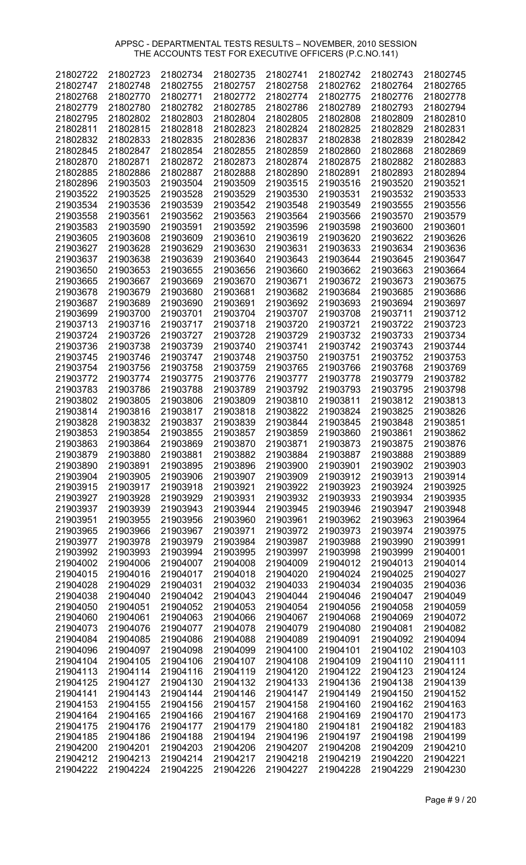| 21802722 | 21802723 | 21802734 | 21802735 | 21802741 | 21802742 | 21802743 | 21802745 |
|----------|----------|----------|----------|----------|----------|----------|----------|
| 21802747 | 21802748 | 21802755 | 21802757 | 21802758 | 21802762 | 21802764 | 21802765 |
| 21802768 | 21802770 | 21802771 | 21802772 | 21802774 | 21802775 | 21802776 | 21802778 |
| 21802779 | 21802780 | 21802782 | 21802785 | 21802786 | 21802789 | 21802793 | 21802794 |
| 21802795 | 21802802 | 21802803 | 21802804 | 21802805 | 21802808 | 21802809 | 21802810 |
| 21802811 | 21802815 | 21802818 | 21802823 | 21802824 | 21802825 | 21802829 | 21802831 |
| 21802832 | 21802833 | 21802835 | 21802836 | 21802837 | 21802838 | 21802839 | 21802842 |
| 21802845 | 21802847 | 21802854 | 21802855 | 21802859 | 21802860 | 21802868 | 21802869 |
| 21802870 | 21802871 | 21802872 | 21802873 | 21802874 | 21802875 | 21802882 | 21802883 |
| 21802885 | 21802886 | 21802887 |          | 21802890 | 21802891 | 21802893 | 21802894 |
|          | 21903503 |          | 21802888 |          |          |          |          |
| 21802896 |          | 21903504 | 21903509 | 21903515 | 21903516 | 21903520 | 21903521 |
| 21903522 | 21903525 | 21903528 | 21903529 | 21903530 | 21903531 | 21903532 | 21903533 |
| 21903534 | 21903536 | 21903539 | 21903542 | 21903548 | 21903549 | 21903555 | 21903556 |
| 21903558 | 21903561 | 21903562 | 21903563 | 21903564 | 21903566 | 21903570 | 21903579 |
| 21903583 | 21903590 | 21903591 | 21903592 | 21903596 | 21903598 | 21903600 | 21903601 |
| 21903605 | 21903608 | 21903609 | 21903610 | 21903619 | 21903620 | 21903622 | 21903626 |
| 21903627 | 21903628 | 21903629 | 21903630 | 21903631 | 21903633 | 21903634 | 21903636 |
| 21903637 | 21903638 | 21903639 | 21903640 | 21903643 | 21903644 | 21903645 | 21903647 |
| 21903650 | 21903653 | 21903655 | 21903656 | 21903660 | 21903662 | 21903663 | 21903664 |
| 21903665 | 21903667 | 21903669 | 21903670 | 21903671 | 21903672 | 21903673 | 21903675 |
| 21903678 | 21903679 | 21903680 | 21903681 | 21903682 | 21903684 | 21903685 | 21903686 |
| 21903687 | 21903689 | 21903690 | 21903691 | 21903692 | 21903693 | 21903694 | 21903697 |
| 21903699 | 21903700 | 21903701 | 21903704 | 21903707 | 21903708 | 21903711 | 21903712 |
| 21903713 | 21903716 | 21903717 | 21903718 | 21903720 | 21903721 | 21903722 | 21903723 |
| 21903724 | 21903726 | 21903727 | 21903728 | 21903729 | 21903732 | 21903733 | 21903734 |
| 21903736 | 21903738 | 21903739 | 21903740 | 21903741 | 21903742 | 21903743 | 21903744 |
| 21903745 | 21903746 | 21903747 | 21903748 | 21903750 | 21903751 | 21903752 | 21903753 |
| 21903754 | 21903756 | 21903758 | 21903759 | 21903765 | 21903766 | 21903768 | 21903769 |
| 21903772 | 21903774 | 21903775 | 21903776 | 21903777 | 21903778 | 21903779 | 21903782 |
| 21903783 | 21903786 | 21903788 | 21903789 | 21903792 | 21903793 | 21903795 | 21903798 |
| 21903802 | 21903805 | 21903806 | 21903809 | 21903810 | 21903811 | 21903812 | 21903813 |
| 21903814 | 21903816 | 21903817 | 21903818 | 21903822 | 21903824 | 21903825 | 21903826 |
| 21903828 | 21903832 | 21903837 | 21903839 | 21903844 | 21903845 | 21903848 | 21903851 |
| 21903853 | 21903854 | 21903855 | 21903857 | 21903859 | 21903860 | 21903861 | 21903862 |
| 21903863 | 21903864 | 21903869 | 21903870 | 21903871 | 21903873 | 21903875 | 21903876 |
| 21903879 | 21903880 | 21903881 | 21903882 | 21903884 | 21903887 | 21903888 | 21903889 |
| 21903890 | 21903891 | 21903895 | 21903896 | 21903900 | 21903901 | 21903902 | 21903903 |
| 21903904 | 21903905 | 21903906 | 21903907 | 21903909 | 21903912 | 21903913 | 21903914 |
| 21903915 | 21903917 | 21903918 | 21903921 | 21903922 | 21903923 | 21903924 | 21903925 |
| 21903927 | 21903928 | 21903929 | 21903931 | 21903932 | 21903933 | 21903934 | 21903935 |
| 21903937 | 21903939 | 21903943 | 21903944 | 21903945 | 21903946 | 21903947 | 21903948 |
| 21903951 | 21903955 | 21903956 | 21903960 | 21903961 | 21903962 | 21903963 | 21903964 |
| 21903965 | 21903966 | 21903967 | 21903971 | 21903972 | 21903973 | 21903974 | 21903975 |
| 21903977 | 21903978 | 21903979 | 21903984 | 21903987 | 21903988 | 21903990 | 21903991 |
| 21903992 | 21903993 | 21903994 | 21903995 | 21903997 | 21903998 | 21903999 | 21904001 |
| 21904002 | 21904006 | 21904007 | 21904008 | 21904009 | 21904012 | 21904013 | 21904014 |
| 21904015 | 21904016 | 21904017 | 21904018 | 21904020 | 21904024 | 21904025 | 21904027 |
| 21904028 | 21904029 | 21904031 | 21904032 | 21904033 | 21904034 | 21904035 | 21904036 |
| 21904038 | 21904040 | 21904042 | 21904043 | 21904044 | 21904046 | 21904047 | 21904049 |
| 21904050 | 21904051 | 21904052 | 21904053 | 21904054 | 21904056 | 21904058 | 21904059 |
| 21904060 | 21904061 | 21904063 | 21904066 | 21904067 | 21904068 | 21904069 | 21904072 |
| 21904073 | 21904076 | 21904077 | 21904078 | 21904079 | 21904080 | 21904081 | 21904082 |
| 21904084 | 21904085 | 21904086 | 21904088 | 21904089 | 21904091 | 21904092 | 21904094 |
| 21904096 | 21904097 | 21904098 | 21904099 | 21904100 | 21904101 | 21904102 | 21904103 |
| 21904104 | 21904105 | 21904106 | 21904107 | 21904108 | 21904109 | 21904110 | 21904111 |
| 21904113 | 21904114 |          |          |          | 21904122 |          |          |
|          |          | 21904116 | 21904119 | 21904120 |          | 21904123 | 21904124 |
| 21904125 | 21904127 | 21904130 | 21904132 | 21904133 | 21904136 | 21904138 | 21904139 |
| 21904141 | 21904143 | 21904144 | 21904146 | 21904147 | 21904149 | 21904150 | 21904152 |
| 21904153 | 21904155 | 21904156 | 21904157 | 21904158 | 21904160 | 21904162 | 21904163 |
| 21904164 | 21904165 | 21904166 | 21904167 | 21904168 | 21904169 | 21904170 | 21904173 |
| 21904175 | 21904176 | 21904177 | 21904179 | 21904180 | 21904181 | 21904182 | 21904183 |
| 21904185 | 21904186 | 21904188 | 21904194 | 21904196 | 21904197 | 21904198 | 21904199 |
| 21904200 | 21904201 | 21904203 | 21904206 | 21904207 | 21904208 | 21904209 | 21904210 |
| 21904212 | 21904213 | 21904214 | 21904217 | 21904218 | 21904219 | 21904220 | 21904221 |
| 21904222 | 21904224 | 21904225 | 21904226 | 21904227 | 21904228 | 21904229 | 21904230 |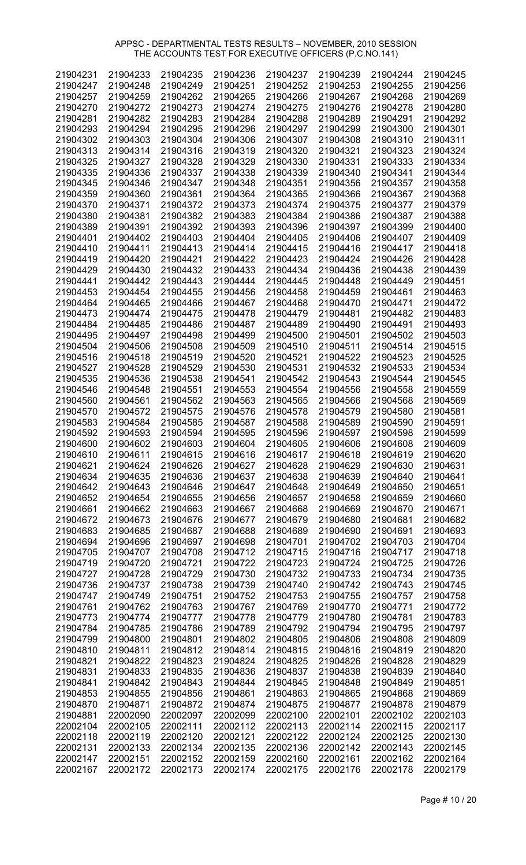| 21904231 | 21904233 | 21904235 | 21904236 | 21904237 | 21904239 | 21904244 | 21904245 |
|----------|----------|----------|----------|----------|----------|----------|----------|
| 21904247 | 21904248 | 21904249 | 21904251 | 21904252 | 21904253 | 21904255 | 21904256 |
| 21904257 | 21904259 | 21904262 | 21904265 | 21904266 | 21904267 | 21904268 | 21904269 |
| 21904270 | 21904272 | 21904273 | 21904274 | 21904275 | 21904276 | 21904278 | 21904280 |
| 21904281 | 21904282 | 21904283 | 21904284 | 21904288 | 21904289 | 21904291 | 21904292 |
| 21904293 | 21904294 | 21904295 | 21904296 | 21904297 | 21904299 | 21904300 | 21904301 |
| 21904302 | 21904303 | 21904304 | 21904306 | 21904307 | 21904308 | 21904310 | 21904311 |
| 21904313 | 21904314 | 21904316 | 21904319 | 21904320 | 21904321 | 21904323 | 21904324 |
|          |          |          |          |          |          | 21904333 |          |
| 21904325 | 21904327 | 21904328 | 21904329 | 21904330 | 21904331 |          | 21904334 |
| 21904335 | 21904336 | 21904337 | 21904338 | 21904339 | 21904340 | 21904341 | 21904344 |
| 21904345 | 21904346 | 21904347 | 21904348 | 21904351 | 21904356 | 21904357 | 21904358 |
| 21904359 | 21904360 | 21904361 | 21904364 | 21904365 | 21904366 | 21904367 | 21904368 |
| 21904370 | 21904371 | 21904372 | 21904373 | 21904374 | 21904375 | 21904377 | 21904379 |
| 21904380 | 21904381 | 21904382 | 21904383 | 21904384 | 21904386 | 21904387 | 21904388 |
| 21904389 | 21904391 | 21904392 | 21904393 | 21904396 | 21904397 | 21904399 | 21904400 |
| 21904401 | 21904402 | 21904403 | 21904404 | 21904405 | 21904406 | 21904407 | 21904409 |
| 21904410 | 21904411 | 21904413 | 21904414 | 21904415 | 21904416 | 21904417 | 21904418 |
| 21904419 | 21904420 | 21904421 | 21904422 | 21904423 | 21904424 | 21904426 | 21904428 |
| 21904429 | 21904430 | 21904432 | 21904433 | 21904434 | 21904436 | 21904438 | 21904439 |
| 21904441 | 21904442 | 21904443 | 21904444 | 21904445 | 21904448 | 21904449 | 21904451 |
| 21904453 | 21904454 | 21904455 | 21904456 | 21904458 | 21904459 | 21904461 | 21904463 |
| 21904464 | 21904465 | 21904466 | 21904467 | 21904468 | 21904470 | 21904471 | 21904472 |
| 21904473 | 21904474 | 21904475 | 21904478 | 21904479 | 21904481 | 21904482 | 21904483 |
| 21904484 | 21904485 | 21904486 | 21904487 | 21904489 | 21904490 | 21904491 | 21904493 |
| 21904495 | 21904497 | 21904498 | 21904499 | 21904500 | 21904501 | 21904502 | 21904503 |
| 21904504 | 21904506 | 21904508 | 21904509 | 21904510 | 21904511 | 21904514 | 21904515 |
| 21904516 | 21904518 | 21904519 | 21904520 | 21904521 | 21904522 | 21904523 | 21904525 |
|          |          |          |          |          |          |          |          |
| 21904527 | 21904528 | 21904529 | 21904530 | 21904531 | 21904532 | 21904533 | 21904534 |
| 21904535 | 21904536 | 21904538 | 21904541 | 21904542 | 21904543 | 21904544 | 21904545 |
| 21904546 | 21904548 | 21904551 | 21904553 | 21904554 | 21904556 | 21904558 | 21904559 |
| 21904560 | 21904561 | 21904562 | 21904563 | 21904565 | 21904566 | 21904568 | 21904569 |
| 21904570 | 21904572 | 21904575 | 21904576 | 21904578 | 21904579 | 21904580 | 21904581 |
| 21904583 | 21904584 | 21904585 | 21904587 | 21904588 | 21904589 | 21904590 | 21904591 |
| 21904592 | 21904593 | 21904594 | 21904595 | 21904596 | 21904597 | 21904598 | 21904599 |
| 21904600 | 21904602 | 21904603 | 21904604 | 21904605 | 21904606 | 21904608 | 21904609 |
| 21904610 | 21904611 | 21904615 | 21904616 | 21904617 | 21904618 | 21904619 | 21904620 |
| 21904621 | 21904624 | 21904626 | 21904627 | 21904628 | 21904629 | 21904630 | 21904631 |
| 21904634 | 21904635 | 21904636 | 21904637 | 21904638 | 21904639 | 21904640 | 21904641 |
| 21904642 | 21904643 | 21904646 | 21904647 | 21904648 | 21904649 | 21904650 | 21904651 |
| 21904652 | 21904654 | 21904655 | 21904656 | 21904657 | 21904658 | 21904659 | 21904660 |
| 21904661 | 21904662 | 21904663 | 21904667 | 21904668 | 21904669 | 21904670 | 21904671 |
| 21904672 | 21904673 | 21904676 | 21904677 | 21904679 | 21904680 | 21904681 | 21904682 |
| 21904683 | 21904685 | 21904687 | 21904688 | 21904689 | 21904690 | 21904691 | 21904693 |
| 21904694 | 21904696 | 21904697 | 21904698 | 21904701 | 21904702 | 21904703 | 21904704 |
| 21904705 | 21904707 | 21904708 | 21904712 | 21904715 | 21904716 | 21904717 | 21904718 |
| 21904719 | 21904720 | 21904721 | 21904722 | 21904723 | 21904724 | 21904725 | 21904726 |
| 21904727 | 21904728 | 21904729 | 21904730 | 21904732 | 21904733 | 21904734 | 21904735 |
| 21904736 | 21904737 | 21904738 | 21904739 | 21904740 | 21904742 | 21904743 | 21904745 |
| 21904747 | 21904749 | 21904751 | 21904752 | 21904753 | 21904755 | 21904757 | 21904758 |
| 21904761 | 21904762 | 21904763 | 21904767 | 21904769 | 21904770 | 21904771 | 21904772 |
| 21904773 | 21904774 | 21904777 | 21904778 | 21904779 | 21904780 | 21904781 | 21904783 |
| 21904784 | 21904785 | 21904786 | 21904789 | 21904792 | 21904794 | 21904795 | 21904797 |
| 21904799 | 21904800 | 21904801 | 21904802 | 21904805 | 21904806 | 21904808 | 21904809 |
| 21904810 | 21904811 | 21904812 | 21904814 | 21904815 | 21904816 | 21904819 | 21904820 |
| 21904821 | 21904822 | 21904823 | 21904824 | 21904825 | 21904826 | 21904828 | 21904829 |
| 21904831 | 21904833 | 21904835 | 21904836 | 21904837 | 21904838 | 21904839 | 21904840 |
| 21904841 | 21904842 | 21904843 | 21904844 | 21904845 | 21904848 | 21904849 | 21904851 |
| 21904853 | 21904855 | 21904856 | 21904861 | 21904863 | 21904865 | 21904868 | 21904869 |
|          |          |          |          |          |          |          |          |
| 21904870 | 21904871 | 21904872 | 21904874 | 21904875 | 21904877 | 21904878 | 21904879 |
| 21904881 | 22002090 | 22002097 | 22002099 | 22002100 | 22002101 | 22002102 | 22002103 |
| 22002104 | 22002105 | 22002111 | 22002112 | 22002113 | 22002114 | 22002115 | 22002117 |
| 22002118 | 22002119 | 22002120 | 22002121 | 22002122 | 22002124 | 22002125 | 22002130 |
| 22002131 | 22002133 | 22002134 | 22002135 | 22002136 | 22002142 | 22002143 | 22002145 |
| 22002147 | 22002151 | 22002152 | 22002159 | 22002160 | 22002161 | 22002162 | 22002164 |
| 22002167 | 22002172 | 22002173 | 22002174 | 22002175 | 22002176 | 22002178 | 22002179 |

Page # 10 / 20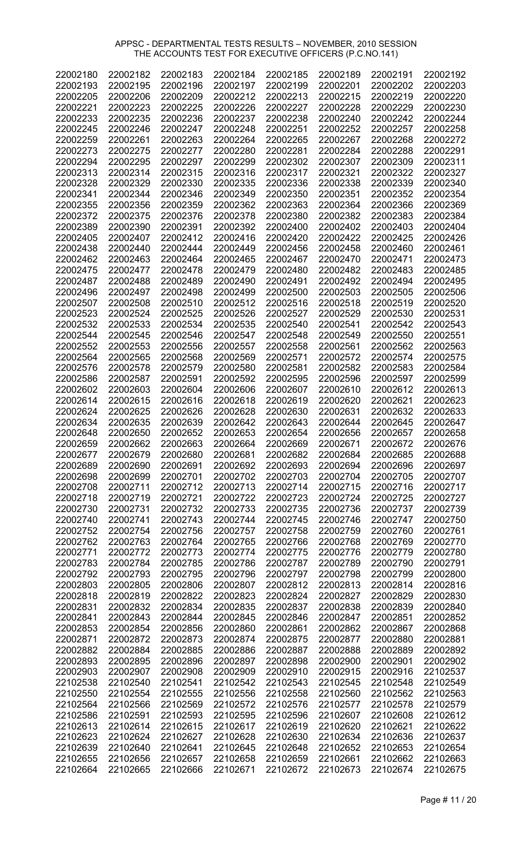| 22002180 | 22002182 | 22002183 | 22002184 | 22002185 | 22002189 | 22002191 | 22002192 |
|----------|----------|----------|----------|----------|----------|----------|----------|
| 22002193 | 22002195 | 22002196 | 22002197 | 22002199 | 22002201 | 22002202 | 22002203 |
| 22002205 | 22002206 | 22002209 | 22002212 | 22002213 | 22002215 | 22002219 | 22002220 |
| 22002221 | 22002223 | 22002225 | 22002226 | 22002227 | 22002228 | 22002229 | 22002230 |
| 22002233 | 22002235 | 22002236 | 22002237 | 22002238 | 22002240 | 22002242 | 22002244 |
| 22002245 | 22002246 | 22002247 | 22002248 | 22002251 | 22002252 | 22002257 | 22002258 |
| 22002259 | 22002261 | 22002263 | 22002264 | 22002265 | 22002267 | 22002268 | 22002272 |
|          |          |          |          |          |          |          |          |
| 22002273 | 22002275 | 22002277 | 22002280 | 22002281 | 22002284 | 22002288 | 22002291 |
| 22002294 | 22002295 | 22002297 | 22002299 | 22002302 | 22002307 | 22002309 | 22002311 |
| 22002313 | 22002314 | 22002315 | 22002316 | 22002317 | 22002321 | 22002322 | 22002327 |
| 22002328 | 22002329 | 22002330 | 22002335 | 22002336 | 22002338 | 22002339 | 22002340 |
| 22002341 | 22002344 | 22002346 | 22002349 | 22002350 | 22002351 | 22002352 | 22002354 |
| 22002355 | 22002356 | 22002359 | 22002362 | 22002363 | 22002364 | 22002366 | 22002369 |
| 22002372 | 22002375 | 22002376 | 22002378 | 22002380 | 22002382 | 22002383 | 22002384 |
| 22002389 | 22002390 | 22002391 | 22002392 | 22002400 | 22002402 | 22002403 | 22002404 |
| 22002405 | 22002407 | 22002412 | 22002416 | 22002420 | 22002422 | 22002425 | 22002426 |
| 22002438 | 22002440 | 22002444 | 22002449 | 22002456 | 22002458 | 22002460 | 22002461 |
| 22002462 | 22002463 | 22002464 | 22002465 | 22002467 | 22002470 | 22002471 | 22002473 |
| 22002475 | 22002477 | 22002478 | 22002479 | 22002480 | 22002482 | 22002483 | 22002485 |
| 22002487 | 22002488 | 22002489 | 22002490 | 22002491 | 22002492 | 22002494 | 22002495 |
|          |          |          |          |          |          |          |          |
| 22002496 | 22002497 | 22002498 | 22002499 | 22002500 | 22002503 | 22002505 | 22002506 |
| 22002507 | 22002508 | 22002510 | 22002512 | 22002516 | 22002518 | 22002519 | 22002520 |
| 22002523 | 22002524 | 22002525 | 22002526 | 22002527 | 22002529 | 22002530 | 22002531 |
| 22002532 | 22002533 | 22002534 | 22002535 | 22002540 | 22002541 | 22002542 | 22002543 |
| 22002544 | 22002545 | 22002546 | 22002547 | 22002548 | 22002549 | 22002550 | 22002551 |
| 22002552 | 22002553 | 22002556 | 22002557 | 22002558 | 22002561 | 22002562 | 22002563 |
| 22002564 | 22002565 | 22002568 | 22002569 | 22002571 | 22002572 | 22002574 | 22002575 |
| 22002576 | 22002578 | 22002579 | 22002580 | 22002581 | 22002582 | 22002583 | 22002584 |
| 22002586 | 22002587 | 22002591 | 22002592 | 22002595 | 22002596 | 22002597 | 22002599 |
| 22002602 | 22002603 | 22002604 | 22002606 | 22002607 | 22002610 | 22002612 | 22002613 |
| 22002614 | 22002615 | 22002616 | 22002618 | 22002619 | 22002620 | 22002621 | 22002623 |
| 22002624 | 22002625 | 22002626 | 22002628 | 22002630 | 22002631 | 22002632 | 22002633 |
| 22002634 | 22002635 | 22002639 | 22002642 | 22002643 | 22002644 | 22002645 | 22002647 |
| 22002648 | 22002650 | 22002652 | 22002653 | 22002654 | 22002656 | 22002657 | 22002658 |
|          | 22002662 |          |          |          |          |          |          |
| 22002659 |          | 22002663 | 22002664 | 22002669 | 22002671 | 22002672 | 22002676 |
| 22002677 | 22002679 | 22002680 | 22002681 | 22002682 | 22002684 | 22002685 | 22002688 |
| 22002689 | 22002690 | 22002691 | 22002692 | 22002693 | 22002694 | 22002696 | 22002697 |
| 22002698 | 22002699 | 22002701 | 22002702 | 22002703 | 22002704 | 22002705 | 22002707 |
| 22002708 | 22002711 | 22002712 | 22002713 | 22002714 | 22002715 | 22002716 | 22002717 |
| 22002718 | 22002719 | 22002721 | 22002722 | 22002723 | 22002724 | 22002725 | 22002727 |
| 22002730 | 22002731 | 22002732 | 22002733 | 22002735 | 22002736 | 22002737 | 22002739 |
| 22002740 | 22002741 | 22002743 | 22002744 | 22002745 | 22002746 | 22002747 | 22002750 |
| 22002752 | 22002754 | 22002756 | 22002757 | 22002758 | 22002759 | 22002760 | 22002761 |
| 22002762 | 22002763 | 22002764 | 22002765 | 22002766 | 22002768 | 22002769 | 22002770 |
| 22002771 | 22002772 | 22002773 | 22002774 | 22002775 | 22002776 | 22002779 | 22002780 |
| 22002783 | 22002784 | 22002785 | 22002786 | 22002787 | 22002789 | 22002790 | 22002791 |
| 22002792 | 22002793 | 22002795 | 22002796 | 22002797 | 22002798 | 22002799 | 22002800 |
| 22002803 | 22002805 | 22002806 | 22002807 | 22002812 | 22002813 | 22002814 | 22002816 |
| 22002818 | 22002819 | 22002822 | 22002823 | 22002824 | 22002827 | 22002829 | 22002830 |
|          | 22002832 | 22002834 | 22002835 | 22002837 | 22002838 | 22002839 | 22002840 |
| 22002831 |          |          |          |          |          |          |          |
| 22002841 | 22002843 | 22002844 | 22002845 | 22002846 | 22002847 | 22002851 | 22002852 |
| 22002853 | 22002854 | 22002856 | 22002860 | 22002861 | 22002862 | 22002867 | 22002868 |
| 22002871 | 22002872 | 22002873 | 22002874 | 22002875 | 22002877 | 22002880 | 22002881 |
| 22002882 | 22002884 | 22002885 | 22002886 | 22002887 | 22002888 | 22002889 | 22002892 |
| 22002893 | 22002895 | 22002896 | 22002897 | 22002898 | 22002900 | 22002901 | 22002902 |
| 22002903 | 22002907 | 22002908 | 22002909 | 22002910 | 22002915 | 22002916 | 22102537 |
| 22102538 | 22102540 | 22102541 | 22102542 | 22102543 | 22102545 | 22102548 | 22102549 |
| 22102550 | 22102554 | 22102555 | 22102556 | 22102558 | 22102560 | 22102562 | 22102563 |
| 22102564 | 22102566 | 22102569 | 22102572 | 22102576 | 22102577 | 22102578 | 22102579 |
| 22102586 | 22102591 | 22102593 | 22102595 | 22102596 | 22102607 | 22102608 | 22102612 |
| 22102613 | 22102614 | 22102615 | 22102617 | 22102619 | 22102620 | 22102621 | 22102622 |
| 22102623 | 22102624 | 22102627 | 22102628 | 22102630 | 22102634 | 22102636 | 22102637 |
| 22102639 | 22102640 | 22102641 | 22102645 | 22102648 | 22102652 | 22102653 | 22102654 |
| 22102655 | 22102656 | 22102657 | 22102658 | 22102659 | 22102661 | 22102662 | 22102663 |
| 22102664 | 22102665 | 22102666 | 22102671 | 22102672 | 22102673 | 22102674 | 22102675 |
|          |          |          |          |          |          |          |          |

Page # 11 / 20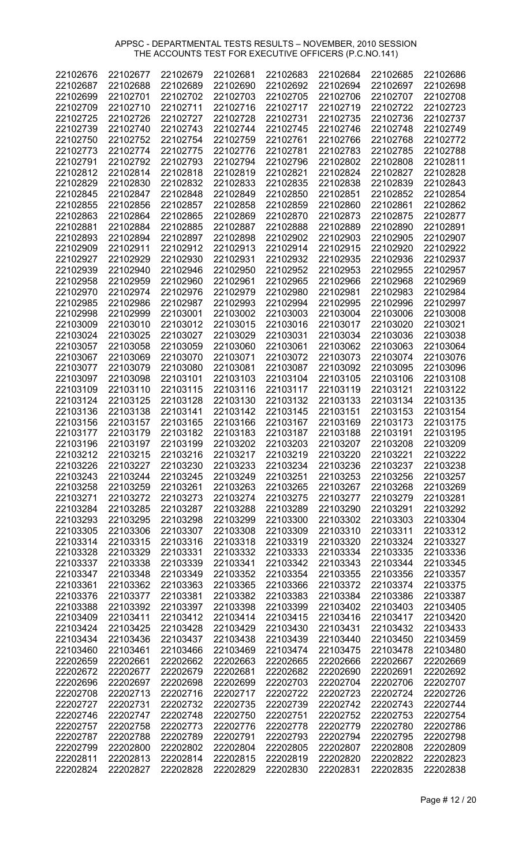| 22102676 | 22102677 | 22102679 | 22102681 | 22102683 | 22102684 | 22102685 | 22102686 |
|----------|----------|----------|----------|----------|----------|----------|----------|
| 22102687 | 22102688 | 22102689 | 22102690 | 22102692 | 22102694 | 22102697 | 22102698 |
| 22102699 | 22102701 | 22102702 | 22102703 | 22102705 | 22102706 | 22102707 | 22102708 |
| 22102709 | 22102710 | 22102711 | 22102716 | 22102717 | 22102719 | 22102722 | 22102723 |
|          |          |          |          |          |          |          |          |
| 22102725 | 22102726 | 22102727 | 22102728 | 22102731 | 22102735 | 22102736 | 22102737 |
| 22102739 | 22102740 | 22102743 | 22102744 | 22102745 | 22102746 | 22102748 | 22102749 |
| 22102750 | 22102752 | 22102754 | 22102759 | 22102761 | 22102766 | 22102768 | 22102772 |
| 22102773 | 22102774 | 22102775 | 22102776 | 22102781 | 22102783 | 22102785 | 22102788 |
| 22102791 | 22102792 | 22102793 | 22102794 | 22102796 | 22102802 | 22102808 | 22102811 |
| 22102812 | 22102814 | 22102818 | 22102819 | 22102821 | 22102824 | 22102827 | 22102828 |
| 22102829 | 22102830 | 22102832 | 22102833 | 22102835 | 22102838 | 22102839 | 22102843 |
| 22102845 | 22102847 | 22102848 | 22102849 | 22102850 | 22102851 | 22102852 | 22102854 |
| 22102855 | 22102856 | 22102857 | 22102858 | 22102859 | 22102860 | 22102861 | 22102862 |
| 22102863 | 22102864 | 22102865 | 22102869 | 22102870 | 22102873 | 22102875 | 22102877 |
|          |          |          |          |          |          |          |          |
| 22102881 | 22102884 | 22102885 | 22102887 | 22102888 | 22102889 | 22102890 | 22102891 |
| 22102893 | 22102894 | 22102897 | 22102898 | 22102902 | 22102903 | 22102905 | 22102907 |
| 22102909 | 22102911 | 22102912 | 22102913 | 22102914 | 22102915 | 22102920 | 22102922 |
| 22102927 | 22102929 | 22102930 | 22102931 | 22102932 | 22102935 | 22102936 | 22102937 |
| 22102939 | 22102940 | 22102946 | 22102950 | 22102952 | 22102953 | 22102955 | 22102957 |
| 22102958 | 22102959 | 22102960 | 22102961 | 22102965 | 22102966 | 22102968 | 22102969 |
| 22102970 | 22102974 | 22102976 | 22102979 | 22102980 | 22102981 | 22102983 | 22102984 |
| 22102985 | 22102986 | 22102987 | 22102993 | 22102994 | 22102995 | 22102996 | 22102997 |
| 22102998 | 22102999 | 22103001 | 22103002 | 22103003 | 22103004 | 22103006 | 22103008 |
| 22103009 | 22103010 | 22103012 | 22103015 | 22103016 | 22103017 | 22103020 | 22103021 |
|          |          |          |          |          |          |          |          |
| 22103024 | 22103025 | 22103027 | 22103029 | 22103031 | 22103034 | 22103036 | 22103038 |
| 22103057 | 22103058 | 22103059 | 22103060 | 22103061 | 22103062 | 22103063 | 22103064 |
| 22103067 | 22103069 | 22103070 | 22103071 | 22103072 | 22103073 | 22103074 | 22103076 |
| 22103077 | 22103079 | 22103080 | 22103081 | 22103087 | 22103092 | 22103095 | 22103096 |
| 22103097 | 22103098 | 22103101 | 22103103 | 22103104 | 22103105 | 22103106 | 22103108 |
| 22103109 | 22103110 | 22103115 | 22103116 | 22103117 | 22103119 | 22103121 | 22103122 |
| 22103124 | 22103125 | 22103128 | 22103130 | 22103132 | 22103133 | 22103134 | 22103135 |
| 22103136 | 22103138 | 22103141 | 22103142 | 22103145 | 22103151 | 22103153 | 22103154 |
| 22103156 | 22103157 | 22103165 | 22103166 | 22103167 | 22103169 | 22103173 | 22103175 |
| 22103177 | 22103179 | 22103182 | 22103183 | 22103187 | 22103188 | 22103191 | 22103195 |
|          |          |          |          |          |          | 22103208 |          |
| 22103196 | 22103197 | 22103199 | 22103202 | 22103203 | 22103207 |          | 22103209 |
| 22103212 | 22103215 | 22103216 | 22103217 | 22103219 | 22103220 | 22103221 | 22103222 |
| 22103226 | 22103227 | 22103230 | 22103233 | 22103234 | 22103236 | 22103237 | 22103238 |
| 22103243 | 22103244 | 22103245 | 22103249 | 22103251 | 22103253 | 22103256 | 22103257 |
| 22103258 | 22103259 | 22103261 | 22103263 | 22103265 | 22103267 | 22103268 | 22103269 |
| 22103271 | 22103272 | 22103273 | 22103274 | 22103275 | 22103277 | 22103279 | 22103281 |
| 22103284 | 22103285 | 22103287 | 22103288 | 22103289 | 22103290 | 22103291 | 22103292 |
| 22103293 | 22103295 | 22103298 | 22103299 | 22103300 | 22103302 | 22103303 | 22103304 |
| 22103305 | 22103306 | 22103307 | 22103308 | 22103309 | 22103310 | 22103311 | 22103312 |
| 22103314 | 22103315 | 22103316 | 22103318 | 22103319 | 22103320 | 22103324 | 22103327 |
| 22103328 | 22103329 | 22103331 | 22103332 | 22103333 | 22103334 | 22103335 | 22103336 |
| 22103337 |          |          | 22103341 |          |          |          |          |
|          | 22103338 | 22103339 |          | 22103342 | 22103343 | 22103344 | 22103345 |
| 22103347 | 22103348 | 22103349 | 22103352 | 22103354 | 22103355 | 22103356 | 22103357 |
| 22103361 | 22103362 | 22103363 | 22103365 | 22103366 | 22103372 | 22103374 | 22103375 |
| 22103376 | 22103377 | 22103381 | 22103382 | 22103383 | 22103384 | 22103386 | 22103387 |
| 22103388 | 22103392 | 22103397 | 22103398 | 22103399 | 22103402 | 22103403 | 22103405 |
| 22103409 | 22103411 | 22103412 | 22103414 | 22103415 | 22103416 | 22103417 | 22103420 |
| 22103424 | 22103425 | 22103428 | 22103429 | 22103430 | 22103431 | 22103432 | 22103433 |
| 22103434 | 22103436 | 22103437 | 22103438 | 22103439 | 22103440 | 22103450 | 22103459 |
| 22103460 | 22103461 | 22103466 | 22103469 | 22103474 | 22103475 | 22103478 | 22103480 |
| 22202659 | 22202661 | 22202662 | 22202663 | 22202665 | 22202666 | 22202667 | 22202669 |
| 22202672 | 22202677 | 22202679 | 22202681 | 22202682 | 22202690 | 22202691 | 22202692 |
|          |          |          |          |          |          |          |          |
| 22202696 | 22202697 | 22202698 | 22202699 | 22202703 | 22202704 | 22202706 | 22202707 |
| 22202708 | 22202713 | 22202716 | 22202717 | 22202722 | 22202723 | 22202724 | 22202726 |
| 22202727 | 22202731 | 22202732 | 22202735 | 22202739 | 22202742 | 22202743 | 22202744 |
| 22202746 | 22202747 | 22202748 | 22202750 | 22202751 | 22202752 | 22202753 | 22202754 |
| 22202757 | 22202758 | 22202773 | 22202776 | 22202778 | 22202779 | 22202780 | 22202786 |
| 22202787 | 22202788 | 22202789 | 22202791 | 22202793 | 22202794 | 22202795 | 22202798 |
| 22202799 | 22202800 | 22202802 | 22202804 | 22202805 | 22202807 | 22202808 | 22202809 |
| 22202811 | 22202813 | 22202814 | 22202815 | 22202819 | 22202820 | 22202822 | 22202823 |
| 22202824 | 22202827 | 22202828 | 22202829 | 22202830 | 22202831 | 22202835 | 22202838 |
|          |          |          |          |          |          |          |          |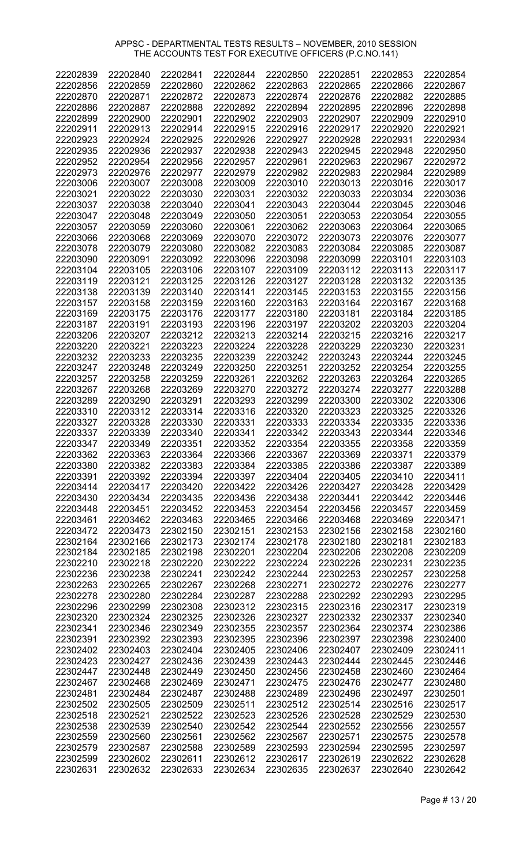| 22202839 | 22202840 | 22202841 | 22202844 | 22202850 | 22202851 | 22202853 | 22202854 |
|----------|----------|----------|----------|----------|----------|----------|----------|
| 22202856 | 22202859 | 22202860 | 22202862 | 22202863 | 22202865 | 22202866 | 22202867 |
| 22202870 | 22202871 | 22202872 | 22202873 | 22202874 | 22202876 | 22202882 | 22202885 |
| 22202886 | 22202887 | 22202888 | 22202892 | 22202894 | 22202895 | 22202896 | 22202898 |
|          |          |          |          |          |          |          |          |
| 22202899 | 22202900 | 22202901 | 22202902 | 22202903 | 22202907 | 22202909 | 22202910 |
| 22202911 | 22202913 | 22202914 | 22202915 | 22202916 | 22202917 | 22202920 | 22202921 |
| 22202923 | 22202924 | 22202925 | 22202926 | 22202927 | 22202928 | 22202931 | 22202934 |
|          |          |          |          |          |          |          |          |
| 22202935 | 22202936 | 22202937 | 22202938 | 22202943 | 22202945 | 22202948 | 22202950 |
| 22202952 | 22202954 | 22202956 | 22202957 | 22202961 | 22202963 | 22202967 | 22202972 |
| 22202973 | 22202976 | 22202977 | 22202979 | 22202982 | 22202983 | 22202984 | 22202989 |
| 22203006 | 22203007 | 22203008 | 22203009 | 22203010 | 22203013 | 22203016 | 22203017 |
|          |          |          |          |          |          |          |          |
| 22203021 | 22203022 | 22203030 | 22203031 | 22203032 | 22203033 | 22203034 | 22203036 |
| 22203037 | 22203038 | 22203040 | 22203041 | 22203043 | 22203044 | 22203045 | 22203046 |
| 22203047 | 22203048 | 22203049 | 22203050 | 22203051 | 22203053 | 22203054 | 22203055 |
|          |          |          |          |          |          |          |          |
| 22203057 | 22203059 | 22203060 | 22203061 | 22203062 | 22203063 | 22203064 | 22203065 |
| 22203066 | 22203068 | 22203069 | 22203070 | 22203072 | 22203073 | 22203076 | 22203077 |
| 22203078 | 22203079 | 22203080 | 22203082 | 22203083 | 22203084 | 22203085 | 22203087 |
| 22203090 | 22203091 | 22203092 | 22203096 | 22203098 | 22203099 | 22203101 | 22203103 |
|          |          |          |          |          |          |          |          |
| 22203104 | 22203105 | 22203106 | 22203107 | 22203109 | 22203112 | 22203113 | 22203117 |
| 22203119 | 22203121 | 22203125 | 22203126 | 22203127 | 22203128 | 22203132 | 22203135 |
| 22203138 | 22203139 | 22203140 | 22203141 | 22203145 | 22203153 | 22203155 | 22203156 |
|          |          |          | 22203160 |          |          |          | 22203168 |
| 22203157 | 22203158 | 22203159 |          | 22203163 | 22203164 | 22203167 |          |
| 22203169 | 22203175 | 22203176 | 22203177 | 22203180 | 22203181 | 22203184 | 22203185 |
| 22203187 | 22203191 | 22203193 | 22203196 | 22203197 | 22203202 | 22203203 | 22203204 |
| 22203206 | 22203207 | 22203212 | 22203213 | 22203214 | 22203215 | 22203216 | 22203217 |
|          |          |          |          |          |          |          |          |
| 22203220 | 22203221 | 22203223 | 22203224 | 22203228 | 22203229 | 22203230 | 22203231 |
| 22203232 | 22203233 | 22203235 | 22203239 | 22203242 | 22203243 | 22203244 | 22203245 |
| 22203247 | 22203248 | 22203249 | 22203250 | 22203251 | 22203252 | 22203254 | 22203255 |
| 22203257 | 22203258 | 22203259 | 22203261 | 22203262 | 22203263 | 22203264 | 22203265 |
|          |          |          |          |          |          |          |          |
| 22203267 | 22203268 | 22203269 | 22203270 | 22203272 | 22203274 | 22203277 | 22203288 |
| 22203289 | 22203290 | 22203291 | 22203293 | 22203299 | 22203300 | 22203302 | 22203306 |
| 22203310 | 22203312 | 22203314 | 22203316 | 22203320 | 22203323 | 22203325 | 22203326 |
|          |          |          |          |          |          |          |          |
| 22203327 | 22203328 | 22203330 | 22203331 | 22203333 | 22203334 | 22203335 | 22203336 |
| 22203337 | 22203339 | 22203340 | 22203341 | 22203342 | 22203343 | 22203344 | 22203346 |
| 22203347 | 22203349 | 22203351 | 22203352 | 22203354 | 22203355 | 22203358 | 22203359 |
| 22203362 | 22203363 | 22203364 | 22203366 | 22203367 | 22203369 | 22203371 | 22203379 |
|          |          |          |          |          |          |          |          |
| 22203380 | 22203382 | 22203383 | 22203384 | 22203385 | 22203386 | 22203387 | 22203389 |
| 22203391 | 22203392 | 22203394 | 22203397 | 22203404 | 22203405 | 22203410 | 22203411 |
| 22203414 | 22203417 | 22203420 | 22203422 | 22203426 | 22203427 | 22203428 | 22203429 |
| 22203430 | 22203434 | 22203435 | 22203436 | 22203438 | 22203441 | 22203442 | 22203446 |
|          |          |          |          |          |          |          |          |
| 22203448 | 22203451 | 22203452 | 22203453 | 22203454 | 22203456 | 22203457 | 22203459 |
| 22203461 | 22203462 | 22203463 | 22203465 | 22203466 | 22203468 | 22203469 | 22203471 |
| 22203472 | 22203473 | 22302150 | 22302151 | 22302153 | 22302156 | 22302158 | 22302160 |
|          |          |          | 22302174 |          |          |          | 22302183 |
| 22302164 | 22302166 | 22302173 |          | 22302178 | 22302180 | 22302181 |          |
| 22302184 | 22302185 | 22302198 | 22302201 | 22302204 | 22302206 | 22302208 | 22302209 |
| 22302210 | 22302218 | 22302220 | 22302222 | 22302224 | 22302226 | 22302231 | 22302235 |
| 22302236 | 22302238 | 22302241 | 22302242 | 22302244 | 22302253 | 22302257 | 22302258 |
|          |          |          |          |          |          |          |          |
| 22302263 | 22302265 | 22302267 | 22302268 | 22302271 | 22302272 | 22302276 | 22302277 |
| 22302278 | 22302280 | 22302284 | 22302287 | 22302288 | 22302292 | 22302293 | 22302295 |
| 22302296 | 22302299 | 22302308 | 22302312 | 22302315 | 22302316 | 22302317 | 22302319 |
| 22302320 | 22302324 | 22302325 | 22302326 | 22302327 | 22302332 | 22302337 | 22302340 |
|          |          |          |          |          |          |          |          |
| 22302341 | 22302346 | 22302349 | 22302355 | 22302357 | 22302364 | 22302374 | 22302386 |
| 22302391 | 22302392 | 22302393 | 22302395 | 22302396 | 22302397 | 22302398 | 22302400 |
| 22302402 | 22302403 | 22302404 | 22302405 | 22302406 | 22302407 | 22302409 | 22302411 |
|          |          |          |          |          |          |          |          |
| 22302423 | 22302427 | 22302436 | 22302439 | 22302443 | 22302444 | 22302445 | 22302446 |
| 22302447 | 22302448 | 22302449 | 22302450 | 22302456 | 22302458 | 22302460 | 22302464 |
| 22302467 | 22302468 | 22302469 | 22302471 | 22302475 | 22302476 | 22302477 | 22302480 |
| 22302481 | 22302484 | 22302487 | 22302488 | 22302489 | 22302496 | 22302497 | 22302501 |
|          |          |          |          |          |          |          |          |
| 22302502 | 22302505 | 22302509 | 22302511 | 22302512 | 22302514 | 22302516 | 22302517 |
| 22302518 | 22302521 | 22302522 | 22302523 | 22302526 | 22302528 | 22302529 | 22302530 |
| 22302538 | 22302539 | 22302540 | 22302542 | 22302544 | 22302552 | 22302556 | 22302557 |
| 22302559 | 22302560 | 22302561 | 22302562 | 22302567 | 22302571 | 22302575 | 22302578 |
|          |          |          |          |          |          |          |          |
| 22302579 | 22302587 | 22302588 | 22302589 | 22302593 | 22302594 | 22302595 | 22302597 |
| 22302599 | 22302602 | 22302611 | 22302612 | 22302617 | 22302619 | 22302622 | 22302628 |
| 22302631 | 22302632 | 22302633 | 22302634 | 22302635 | 22302637 | 22302640 | 22302642 |

Page # 13 / 20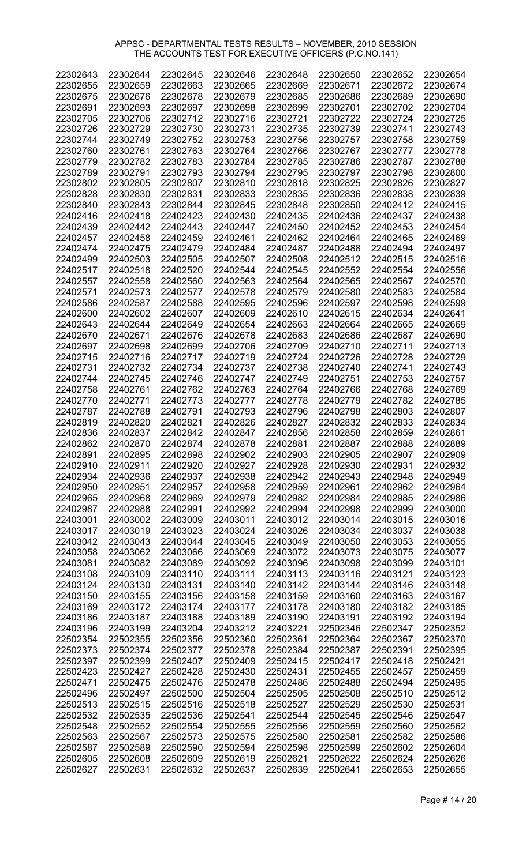| 22302643 | 22302644 | 22302645 | 22302646 | 22302648 | 22302650 | 22302652 | 22302654 |
|----------|----------|----------|----------|----------|----------|----------|----------|
| 22302655 | 22302659 | 22302663 | 22302665 | 22302669 | 22302671 | 22302672 | 22302674 |
|          |          |          |          |          |          |          |          |
| 22302675 | 22302676 | 22302678 | 22302679 | 22302685 | 22302686 | 22302689 | 22302690 |
| 22302691 | 22302693 | 22302697 | 22302698 | 22302699 | 22302701 | 22302702 | 22302704 |
| 22302705 | 22302706 |          | 22302716 | 22302721 |          |          | 22302725 |
|          |          | 22302712 |          |          | 22302722 | 22302724 |          |
| 22302726 | 22302729 | 22302730 | 22302731 | 22302735 | 22302739 | 22302741 | 22302743 |
| 22302744 | 22302749 | 22302752 | 22302753 | 22302756 | 22302757 | 22302758 | 22302759 |
|          |          |          |          |          |          |          |          |
| 22302760 | 22302761 | 22302763 | 22302764 | 22302766 | 22302767 | 22302777 | 22302778 |
| 22302779 | 22302782 | 22302783 | 22302784 | 22302785 | 22302786 | 22302787 | 22302788 |
|          |          |          |          |          |          |          |          |
| 22302789 | 22302791 | 22302793 | 22302794 | 22302795 | 22302797 | 22302798 | 22302800 |
| 22302802 | 22302805 | 22302807 | 22302810 | 22302818 | 22302825 | 22302826 | 22302827 |
| 22302828 | 22302830 | 22302831 | 22302833 | 22302835 | 22302836 | 22302838 | 22302839 |
|          |          |          |          |          |          |          |          |
| 22302840 | 22302843 | 22302844 | 22302845 | 22302848 | 22302850 | 22402412 | 22402415 |
| 22402416 | 22402418 | 22402423 | 22402430 | 22402435 | 22402436 | 22402437 | 22402438 |
|          |          |          |          |          |          |          |          |
| 22402439 | 22402442 | 22402443 | 22402447 | 22402450 | 22402452 | 22402453 | 22402454 |
| 22402457 | 22402458 | 22402459 | 22402461 | 22402462 | 22402464 | 22402465 | 22402469 |
|          |          |          |          |          |          |          |          |
| 22402474 | 22402475 | 22402479 | 22402484 | 22402487 | 22402488 | 22402494 | 22402497 |
| 22402499 | 22402503 | 22402505 | 22402507 | 22402508 | 22402512 | 22402515 | 22402516 |
| 22402517 | 22402518 | 22402520 | 22402544 | 22402545 | 22402552 | 22402554 | 22402556 |
|          |          |          |          |          |          |          |          |
| 22402557 | 22402558 | 22402560 | 22402563 | 22402564 | 22402565 | 22402567 | 22402570 |
| 22402571 | 22402573 | 22402577 | 22402578 | 22402579 | 22402580 | 22402583 | 22402584 |
|          |          |          |          |          |          |          |          |
| 22402586 | 22402587 | 22402588 | 22402595 | 22402596 | 22402597 | 22402598 | 22402599 |
| 22402600 | 22402602 | 22402607 | 22402609 | 22402610 | 22402615 | 22402634 | 22402641 |
| 22402643 | 22402644 | 22402649 | 22402654 | 22402663 | 22402664 | 22402665 | 22402669 |
|          |          |          |          |          |          |          |          |
| 22402670 | 22402671 | 22402676 | 22402678 | 22402683 | 22402686 | 22402687 | 22402690 |
| 22402697 | 22402698 | 22402699 | 22402706 | 22402709 | 22402710 | 22402711 | 22402713 |
| 22402715 | 22402716 | 22402717 | 22402719 | 22402724 | 22402726 | 22402728 | 22402729 |
|          |          |          |          |          |          |          |          |
| 22402731 | 22402732 | 22402734 | 22402737 | 22402738 | 22402740 | 22402741 | 22402743 |
| 22402744 | 22402745 | 22402746 | 22402747 | 22402749 | 22402751 | 22402753 | 22402757 |
| 22402758 | 22402761 | 22402762 | 22402763 | 22402764 | 22402766 | 22402768 | 22402769 |
|          |          |          |          |          |          |          |          |
| 22402770 | 22402771 | 22402773 | 22402777 | 22402778 | 22402779 | 22402782 | 22402785 |
| 22402787 | 22402788 | 22402791 | 22402793 | 22402796 | 22402798 | 22402803 | 22402807 |
| 22402819 | 22402820 | 22402821 | 22402826 | 22402827 | 22402832 | 22402833 | 22402834 |
|          |          |          |          |          |          |          |          |
| 22402836 | 22402837 | 22402842 | 22402847 | 22402856 | 22402858 | 22402859 | 22402861 |
| 22402862 | 22402870 | 22402874 | 22402878 | 22402881 | 22402887 | 22402888 | 22402889 |
| 22402891 |          |          | 22402902 |          |          |          |          |
|          | 22402895 | 22402898 |          | 22402903 | 22402905 | 22402907 | 22402909 |
| 22402910 | 22402911 | 22402920 | 22402927 | 22402928 | 22402930 | 22402931 | 22402932 |
| 22402934 | 22402936 | 22402937 | 22402938 | 22402942 | 22402943 | 22402948 | 22402949 |
|          |          |          |          |          |          |          |          |
| 22402950 | 22402951 | 22402957 | 22402958 | 22402959 | 22402961 | 22402962 | 22402964 |
| 22402965 | 22402968 | 22402969 | 22402979 | 22402982 | 22402984 | 22402985 | 22402986 |
| 22402987 | 22402988 | 22402991 | 22402992 | 22402994 | 22402998 | 22402999 | 22403000 |
|          |          |          |          |          |          |          |          |
| 22403001 | 22403002 | 22403009 | 22403011 | 22403012 | 22403014 | 22403015 | 22403016 |
| 22403017 | 22403019 | 22403023 | 22403024 | 22403026 | 22403034 | 22403037 | 22403038 |
| 22403042 | 22403043 | 22403044 | 22403045 | 22403049 | 22403050 | 22403053 | 22403055 |
|          |          |          |          |          |          |          |          |
| 22403058 | 22403062 | 22403066 | 22403069 | 22403072 | 22403073 | 22403075 | 22403077 |
| 22403081 | 22403082 | 22403089 | 22403092 | 22403096 | 22403098 | 22403099 | 22403101 |
| 22403108 | 22403109 | 22403110 | 22403111 | 22403113 | 22403116 | 22403121 | 22403123 |
|          |          |          |          |          |          |          |          |
| 22403124 | 22403130 | 22403131 | 22403140 | 22403142 | 22403144 | 22403146 | 22403148 |
| 22403150 | 22403155 | 22403156 | 22403158 | 22403159 | 22403160 | 22403163 | 22403167 |
|          | 22403172 | 22403174 | 22403177 | 22403178 | 22403180 | 22403182 |          |
| 22403169 |          |          |          |          |          |          | 22403185 |
| 22403186 | 22403187 | 22403188 | 22403189 | 22403190 | 22403191 | 22403192 | 22403194 |
| 22403196 | 22403199 | 22403204 | 22403212 | 22403221 | 22502346 | 22502347 | 22502352 |
|          |          |          |          |          |          |          |          |
| 22502354 | 22502355 | 22502356 | 22502360 | 22502361 | 22502364 | 22502367 | 22502370 |
| 22502373 | 22502374 | 22502377 | 22502378 | 22502384 | 22502387 | 22502391 | 22502395 |
| 22502397 | 22502399 | 22502407 | 22502409 | 22502415 | 22502417 | 22502418 | 22502421 |
|          |          |          |          |          |          |          |          |
| 22502423 | 22502427 | 22502428 | 22502430 | 22502431 | 22502455 | 22502457 | 22502459 |
| 22502471 | 22502475 | 22502476 | 22502478 | 22502486 | 22502488 | 22502494 | 22502495 |
| 22502496 | 22502497 | 22502500 | 22502504 | 22502505 | 22502508 | 22502510 | 22502512 |
|          |          |          |          |          |          |          |          |
| 22502513 | 22502515 | 22502516 | 22502518 | 22502527 | 22502529 | 22502530 | 22502531 |
| 22502532 | 22502535 | 22502536 | 22502541 | 22502544 | 22502545 | 22502546 | 22502547 |
| 22502548 | 22502552 | 22502554 | 22502555 | 22502556 | 22502559 | 22502560 | 22502562 |
|          |          |          |          |          |          |          |          |
| 22502563 | 22502567 | 22502573 | 22502575 | 22502580 | 22502581 | 22502582 | 22502586 |
| 22502587 | 22502589 | 22502590 | 22502594 | 22502598 | 22502599 | 22502602 | 22502604 |
| 22502605 | 22502608 | 22502609 | 22502619 | 22502621 | 22502622 | 22502624 | 22502626 |
|          |          |          |          |          |          |          |          |
| 22502627 | 22502631 | 22502632 | 22502637 | 22502639 | 22502641 | 22502653 | 22502655 |

Page # 14 / 20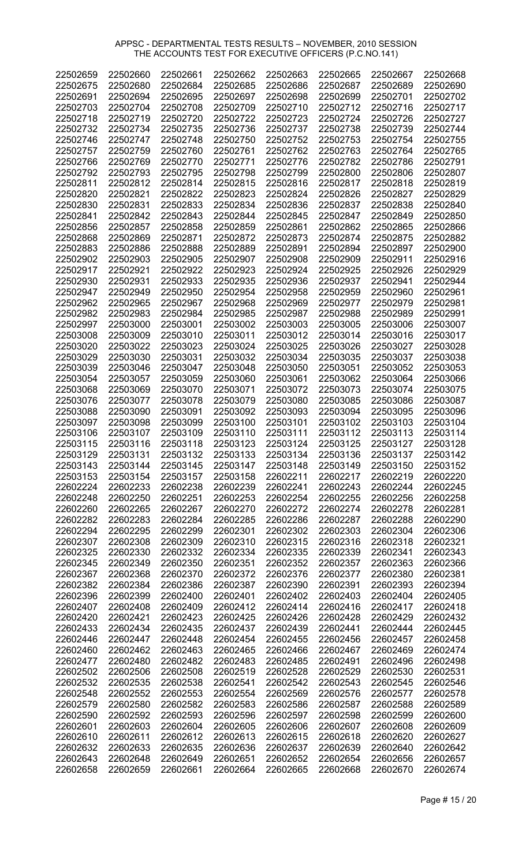| 22502659 | 22502660 | 22502661 | 22502662 | 22502663 | 22502665 | 22502667 | 22502668 |
|----------|----------|----------|----------|----------|----------|----------|----------|
| 22502675 | 22502680 | 22502684 | 22502685 | 22502686 | 22502687 | 22502689 | 22502690 |
| 22502691 | 22502694 | 22502695 | 22502697 | 22502698 | 22502699 | 22502701 | 22502702 |
| 22502703 | 22502704 | 22502708 | 22502709 | 22502710 | 22502712 | 22502716 | 22502717 |
| 22502718 | 22502719 | 22502720 | 22502722 | 22502723 | 22502724 | 22502726 | 22502727 |
| 22502732 | 22502734 | 22502735 | 22502736 | 22502737 | 22502738 | 22502739 | 22502744 |
| 22502746 | 22502747 | 22502748 | 22502750 | 22502752 | 22502753 | 22502754 | 22502755 |
| 22502757 | 22502759 | 22502760 | 22502761 | 22502762 | 22502763 | 22502764 | 22502765 |
| 22502766 | 22502769 | 22502770 | 22502771 | 22502776 | 22502782 | 22502786 | 22502791 |
|          |          |          |          |          | 22502800 |          | 22502807 |
| 22502792 | 22502793 | 22502795 | 22502798 | 22502799 |          | 22502806 |          |
| 22502811 | 22502812 | 22502814 | 22502815 | 22502816 | 22502817 | 22502818 | 22502819 |
| 22502820 | 22502821 | 22502822 | 22502823 | 22502824 | 22502826 | 22502827 | 22502829 |
| 22502830 | 22502831 | 22502833 | 22502834 | 22502836 | 22502837 | 22502838 | 22502840 |
| 22502841 | 22502842 | 22502843 | 22502844 | 22502845 | 22502847 | 22502849 | 22502850 |
| 22502856 | 22502857 | 22502858 | 22502859 | 22502861 | 22502862 | 22502865 | 22502866 |
| 22502868 | 22502869 | 22502871 | 22502872 | 22502873 | 22502874 | 22502875 | 22502882 |
| 22502883 | 22502886 | 22502888 | 22502889 | 22502891 | 22502894 | 22502897 | 22502900 |
| 22502902 | 22502903 | 22502905 | 22502907 | 22502908 | 22502909 | 22502911 | 22502916 |
| 22502917 | 22502921 | 22502922 | 22502923 | 22502924 | 22502925 | 22502926 | 22502929 |
| 22502930 | 22502931 | 22502933 | 22502935 | 22502936 | 22502937 | 22502941 | 22502944 |
| 22502947 | 22502949 | 22502950 | 22502954 | 22502958 | 22502959 | 22502960 | 22502961 |
| 22502962 | 22502965 | 22502967 | 22502968 | 22502969 | 22502977 | 22502979 | 22502981 |
| 22502982 | 22502983 | 22502984 | 22502985 | 22502987 | 22502988 | 22502989 | 22502991 |
| 22502997 | 22503000 | 22503001 | 22503002 | 22503003 | 22503005 | 22503006 | 22503007 |
| 22503008 | 22503009 | 22503010 | 22503011 | 22503012 | 22503014 | 22503016 | 22503017 |
| 22503020 | 22503022 | 22503023 | 22503024 | 22503025 | 22503026 | 22503027 | 22503028 |
| 22503029 | 22503030 | 22503031 | 22503032 | 22503034 | 22503035 | 22503037 | 22503038 |
| 22503039 | 22503046 | 22503047 | 22503048 | 22503050 | 22503051 | 22503052 | 22503053 |
| 22503054 | 22503057 | 22503059 | 22503060 | 22503061 | 22503062 | 22503064 | 22503066 |
| 22503068 | 22503069 | 22503070 | 22503071 | 22503072 | 22503073 | 22503074 | 22503075 |
| 22503076 | 22503077 | 22503078 | 22503079 | 22503080 | 22503085 | 22503086 | 22503087 |
| 22503088 | 22503090 | 22503091 | 22503092 | 22503093 | 22503094 | 22503095 | 22503096 |
| 22503097 | 22503098 | 22503099 | 22503100 | 22503101 | 22503102 | 22503103 | 22503104 |
| 22503106 | 22503107 | 22503109 | 22503110 | 22503111 | 22503112 | 22503113 | 22503114 |
| 22503115 | 22503116 | 22503118 | 22503123 | 22503124 | 22503125 | 22503127 | 22503128 |
| 22503129 | 22503131 | 22503132 | 22503133 | 22503134 | 22503136 | 22503137 | 22503142 |
| 22503143 | 22503144 | 22503145 | 22503147 | 22503148 | 22503149 | 22503150 | 22503152 |
| 22503153 | 22503154 | 22503157 | 22503158 | 22602211 | 22602217 | 22602219 | 22602220 |
| 22602224 | 22602233 | 22602238 | 22602239 | 22602241 | 22602243 | 22602244 | 22602245 |
| 22602248 | 22602250 | 22602251 | 22602253 | 22602254 | 22602255 | 22602256 | 22602258 |
| 22602260 | 22602265 | 22602267 | 22602270 | 22602272 | 22602274 | 22602278 | 22602281 |
|          |          |          |          |          |          |          | 22602290 |
| 22602282 | 22602283 | 22602284 | 22602285 | 22602286 | 22602287 | 22602288 |          |
| 22602294 | 22602295 | 22602299 | 22602301 | 22602302 | 22602303 | 22602304 | 22602306 |
| 22602307 | 22602308 | 22602309 | 22602310 | 22602315 | 22602316 | 22602318 | 22602321 |
| 22602325 | 22602330 | 22602332 | 22602334 | 22602335 | 22602339 | 22602341 | 22602343 |
| 22602345 | 22602349 | 22602350 | 22602351 | 22602352 | 22602357 | 22602363 | 22602366 |
| 22602367 | 22602368 | 22602370 | 22602372 | 22602376 | 22602377 | 22602380 | 22602381 |
| 22602382 | 22602384 | 22602386 | 22602387 | 22602390 | 22602391 | 22602393 | 22602394 |
| 22602396 | 22602399 | 22602400 | 22602401 | 22602402 | 22602403 | 22602404 | 22602405 |
| 22602407 | 22602408 | 22602409 | 22602412 | 22602414 | 22602416 | 22602417 | 22602418 |
| 22602420 | 22602421 | 22602423 | 22602425 | 22602426 | 22602428 | 22602429 | 22602432 |
| 22602433 | 22602434 | 22602435 | 22602437 | 22602439 | 22602441 | 22602444 | 22602445 |
| 22602446 | 22602447 | 22602448 | 22602454 | 22602455 | 22602456 | 22602457 | 22602458 |
| 22602460 | 22602462 | 22602463 | 22602465 | 22602466 | 22602467 | 22602469 | 22602474 |
| 22602477 | 22602480 | 22602482 | 22602483 | 22602485 | 22602491 | 22602496 | 22602498 |
| 22602502 | 22602506 | 22602508 | 22602519 | 22602528 | 22602529 | 22602530 | 22602531 |
| 22602532 | 22602535 | 22602538 | 22602541 | 22602542 | 22602543 | 22602545 | 22602546 |
| 22602548 | 22602552 | 22602553 | 22602554 | 22602569 | 22602576 | 22602577 | 22602578 |
| 22602579 | 22602580 | 22602582 | 22602583 | 22602586 | 22602587 | 22602588 | 22602589 |
| 22602590 | 22602592 | 22602593 | 22602596 | 22602597 | 22602598 | 22602599 | 22602600 |
| 22602601 | 22602603 | 22602604 | 22602605 | 22602606 | 22602607 | 22602608 | 22602609 |
| 22602610 | 22602611 | 22602612 | 22602613 | 22602615 | 22602618 | 22602620 | 22602627 |
| 22602632 | 22602633 | 22602635 | 22602636 | 22602637 | 22602639 | 22602640 | 22602642 |
| 22602643 | 22602648 | 22602649 | 22602651 | 22602652 | 22602654 | 22602656 | 22602657 |
| 22602658 | 22602659 | 22602661 | 22602664 | 22602665 | 22602668 | 22602670 | 22602674 |

Page # 15 / 20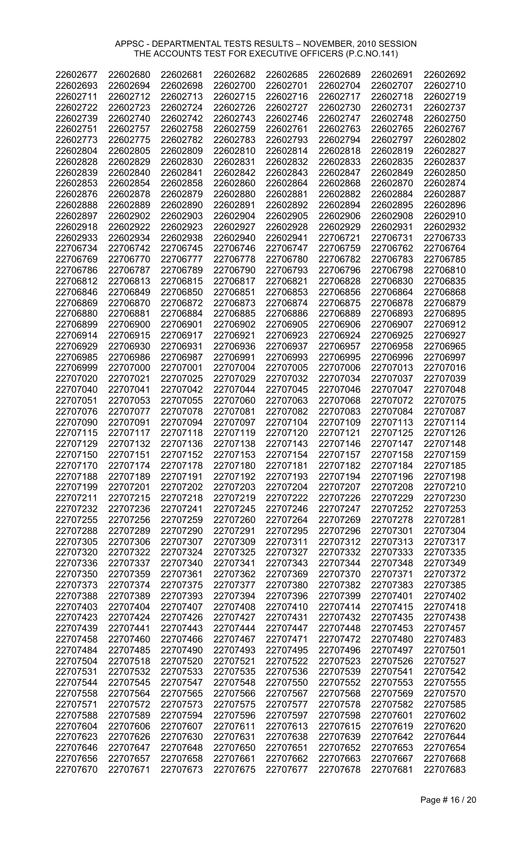| 22602677 | 22602680 | 22602681 | 22602682 | 22602685 | 22602689 | 22602691 | 22602692 |
|----------|----------|----------|----------|----------|----------|----------|----------|
| 22602693 | 22602694 | 22602698 | 22602700 | 22602701 | 22602704 | 22602707 | 22602710 |
|          |          |          |          |          |          |          |          |
| 22602711 | 22602712 | 22602713 | 22602715 | 22602716 | 22602717 | 22602718 | 22602719 |
| 22602722 | 22602723 | 22602724 | 22602726 | 22602727 | 22602730 | 22602731 | 22602737 |
|          |          |          |          |          |          |          |          |
| 22602739 | 22602740 | 22602742 | 22602743 | 22602746 | 22602747 | 22602748 | 22602750 |
| 22602751 | 22602757 | 22602758 | 22602759 | 22602761 | 22602763 | 22602765 | 22602767 |
| 22602773 | 22602775 | 22602782 | 22602783 | 22602793 | 22602794 | 22602797 | 22602802 |
|          |          |          |          |          |          |          |          |
| 22602804 | 22602805 | 22602809 | 22602810 | 22602814 | 22602818 | 22602819 | 22602827 |
| 22602828 | 22602829 | 22602830 | 22602831 | 22602832 | 22602833 | 22602835 | 22602837 |
|          |          |          |          |          |          |          |          |
| 22602839 | 22602840 | 22602841 | 22602842 | 22602843 | 22602847 | 22602849 | 22602850 |
| 22602853 | 22602854 | 22602858 | 22602860 | 22602864 | 22602868 | 22602870 | 22602874 |
|          |          |          |          |          |          |          |          |
| 22602876 | 22602878 | 22602879 | 22602880 | 22602881 | 22602882 | 22602884 | 22602887 |
| 22602888 | 22602889 | 22602890 | 22602891 | 22602892 | 22602894 | 22602895 | 22602896 |
| 22602897 | 22602902 | 22602903 | 22602904 | 22602905 | 22602906 | 22602908 | 22602910 |
|          |          |          |          |          |          |          |          |
| 22602918 | 22602922 | 22602923 | 22602927 | 22602928 | 22602929 | 22602931 | 22602932 |
| 22602933 | 22602934 | 22602938 | 22602940 | 22602941 | 22706721 | 22706731 | 22706733 |
|          |          |          |          |          |          |          |          |
| 22706734 | 22706742 | 22706745 | 22706746 | 22706747 | 22706759 | 22706762 | 22706764 |
| 22706769 | 22706770 | 22706777 | 22706778 | 22706780 | 22706782 | 22706783 | 22706785 |
| 22706786 | 22706787 | 22706789 | 22706790 | 22706793 | 22706796 | 22706798 | 22706810 |
|          |          |          |          |          |          |          |          |
| 22706812 | 22706813 | 22706815 | 22706817 | 22706821 | 22706828 | 22706830 | 22706835 |
| 22706846 | 22706849 | 22706850 | 22706851 | 22706853 | 22706856 | 22706864 | 22706868 |
| 22706869 | 22706870 | 22706872 | 22706873 | 22706874 | 22706875 | 22706878 | 22706879 |
|          |          |          |          |          |          |          |          |
| 22706880 | 22706881 | 22706884 | 22706885 | 22706886 | 22706889 | 22706893 | 22706895 |
| 22706899 | 22706900 | 22706901 | 22706902 | 22706905 | 22706906 | 22706907 | 22706912 |
|          | 22706915 |          |          |          | 22706924 |          | 22706927 |
| 22706914 |          | 22706917 | 22706921 | 22706923 |          | 22706925 |          |
| 22706929 | 22706930 | 22706931 | 22706936 | 22706937 | 22706957 | 22706958 | 22706965 |
| 22706985 | 22706986 | 22706987 | 22706991 | 22706993 | 22706995 | 22706996 | 22706997 |
|          |          |          |          |          |          |          |          |
| 22706999 | 22707000 | 22707001 | 22707004 | 22707005 | 22707006 | 22707013 | 22707016 |
| 22707020 | 22707021 | 22707025 | 22707029 | 22707032 | 22707034 | 22707037 | 22707039 |
| 22707040 | 22707041 | 22707042 | 22707044 | 22707045 | 22707046 | 22707047 | 22707048 |
|          |          |          |          |          |          |          |          |
| 22707051 | 22707053 | 22707055 | 22707060 | 22707063 | 22707068 | 22707072 | 22707075 |
| 22707076 | 22707077 | 22707078 | 22707081 | 22707082 | 22707083 | 22707084 | 22707087 |
| 22707090 | 22707091 | 22707094 | 22707097 | 22707104 | 22707109 | 22707113 | 22707114 |
|          |          |          |          |          |          |          |          |
| 22707115 | 22707117 | 22707118 | 22707119 | 22707120 | 22707121 | 22707125 | 22707126 |
| 22707129 | 22707132 | 22707136 | 22707138 | 22707143 | 22707146 | 22707147 | 22707148 |
| 22707150 | 22707151 | 22707152 | 22707153 | 22707154 | 22707157 | 22707158 | 22707159 |
|          |          |          |          |          |          |          |          |
| 22707170 | 22707174 | 22707178 | 22707180 | 22707181 | 22707182 | 22707184 | 22707185 |
| 22707188 | 22707189 | 22707191 | 22707192 | 22707193 | 22707194 | 22707196 | 22707198 |
| 22707199 | 22707201 | 22707202 | 22707203 | 22707204 | 22707207 | 22707208 | 22707210 |
|          |          |          |          |          |          |          |          |
| 22707211 | 22707215 | 22707218 | 22707219 | 22707222 | 22707226 | 22707229 | 22707230 |
| 22707232 | 22707236 | 22707241 | 22707245 | 22707246 | 22707247 | 22707252 | 22707253 |
| 22707255 | 22707256 | 22707259 | 22707260 | 22707264 | 22707269 | 22707278 | 22707281 |
|          |          |          |          |          |          |          |          |
| 22707288 | 22707289 | 22707290 | 22707291 | 22707295 | 22707296 | 22707301 | 22707304 |
| 22707305 | 22707306 | 22707307 | 22707309 | 22707311 | 22707312 | 22707313 | 22707317 |
|          |          |          |          |          |          |          |          |
| 22707320 | 22707322 | 22707324 | 22707325 | 22707327 | 22707332 | 22707333 | 22707335 |
| 22707336 | 22707337 | 22707340 | 22707341 | 22707343 | 22707344 | 22707348 | 22707349 |
| 22707350 | 22707359 | 22707361 | 22707362 | 22707369 | 22707370 | 22707371 | 22707372 |
|          | 22707374 | 22707375 | 22707377 | 22707380 | 22707382 | 22707383 |          |
| 22707373 |          |          |          |          |          |          | 22707385 |
| 22707388 | 22707389 | 22707393 | 22707394 | 22707396 | 22707399 | 22707401 | 22707402 |
| 22707403 | 22707404 | 22707407 | 22707408 | 22707410 | 22707414 | 22707415 | 22707418 |
|          |          |          |          |          |          |          |          |
| 22707423 | 22707424 | 22707426 | 22707427 | 22707431 | 22707432 | 22707435 | 22707438 |
| 22707439 | 22707441 | 22707443 | 22707444 | 22707447 | 22707448 | 22707453 | 22707457 |
| 22707458 | 22707460 | 22707466 | 22707467 | 22707471 | 22707472 | 22707480 | 22707483 |
|          |          |          |          |          |          |          |          |
| 22707484 | 22707485 | 22707490 | 22707493 | 22707495 | 22707496 | 22707497 | 22707501 |
| 22707504 | 22707518 | 22707520 | 22707521 | 22707522 | 22707523 | 22707526 | 22707527 |
| 22707531 | 22707532 | 22707533 | 22707535 | 22707536 | 22707539 | 22707541 | 22707542 |
|          |          |          |          |          |          |          |          |
| 22707544 | 22707545 | 22707547 | 22707548 | 22707550 | 22707552 | 22707553 | 22707555 |
| 22707558 | 22707564 | 22707565 | 22707566 | 22707567 | 22707568 | 22707569 | 22707570 |
| 22707571 | 22707572 | 22707573 | 22707575 | 22707577 | 22707578 | 22707582 | 22707585 |
|          |          |          |          |          |          |          |          |
| 22707588 | 22707589 | 22707594 | 22707596 | 22707597 | 22707598 | 22707601 | 22707602 |
| 22707604 | 22707606 | 22707607 | 22707611 | 22707613 | 22707615 | 22707619 | 22707620 |
| 22707623 | 22707626 | 22707630 | 22707631 | 22707638 | 22707639 | 22707642 | 22707644 |
|          |          |          | 22707650 |          |          |          | 22707654 |
| 22707646 | 22707647 | 22707648 |          | 22707651 | 22707652 | 22707653 |          |
| 22707656 | 22707657 | 22707658 | 22707661 | 22707662 | 22707663 | 22707667 | 22707668 |
| 22707670 | 22707671 | 22707673 | 22707675 | 22707677 | 22707678 | 22707681 | 22707683 |
|          |          |          |          |          |          |          |          |

Page # 16 / 20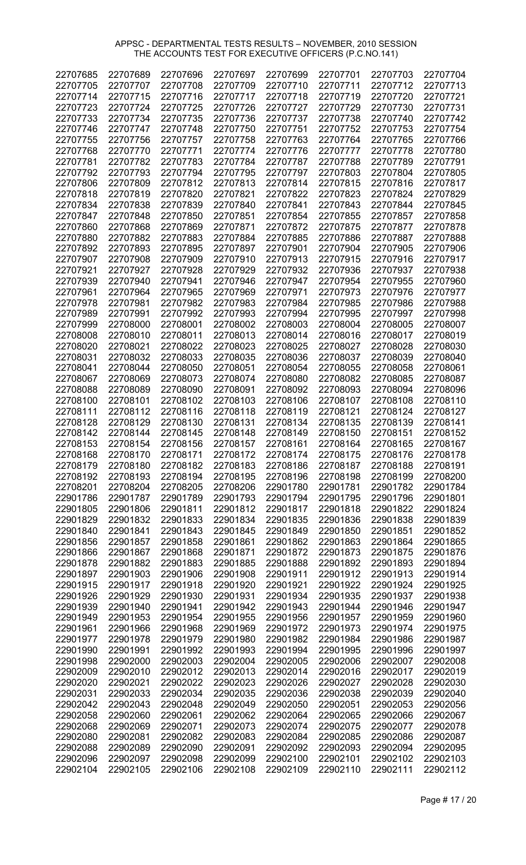| 22707685 | 22707689 | 22707696 | 22707697 | 22707699 | 22707701 | 22707703 | 22707704 |
|----------|----------|----------|----------|----------|----------|----------|----------|
| 22707705 | 22707707 | 22707708 | 22707709 | 22707710 | 22707711 | 22707712 | 22707713 |
| 22707714 | 22707715 | 22707716 | 22707717 | 22707718 | 22707719 | 22707720 | 22707721 |
| 22707723 | 22707724 | 22707725 | 22707726 | 22707727 | 22707729 | 22707730 | 22707731 |
| 22707733 | 22707734 | 22707735 | 22707736 | 22707737 | 22707738 | 22707740 | 22707742 |
| 22707746 | 22707747 | 22707748 | 22707750 | 22707751 | 22707752 | 22707753 | 22707754 |
| 22707755 | 22707756 | 22707757 | 22707758 | 22707763 | 22707764 | 22707765 | 22707766 |
| 22707768 | 22707770 | 22707771 | 22707774 | 22707776 | 22707777 | 22707778 | 22707780 |
| 22707781 | 22707782 | 22707783 | 22707784 | 22707787 | 22707788 | 22707789 | 22707791 |
| 22707792 | 22707793 | 22707794 | 22707795 | 22707797 | 22707803 | 22707804 | 22707805 |
| 22707806 | 22707809 | 22707812 | 22707813 | 22707814 | 22707815 | 22707816 | 22707817 |
| 22707818 | 22707819 | 22707820 | 22707821 | 22707822 | 22707823 | 22707824 | 22707829 |
| 22707834 | 22707838 | 22707839 | 22707840 | 22707841 | 22707843 | 22707844 | 22707845 |
|          | 22707848 |          | 22707851 |          | 22707855 | 22707857 | 22707858 |
| 22707847 |          | 22707850 |          | 22707854 |          |          |          |
| 22707860 | 22707868 | 22707869 | 22707871 | 22707872 | 22707875 | 22707877 | 22707878 |
| 22707880 | 22707882 | 22707883 | 22707884 | 22707885 | 22707886 | 22707887 | 22707888 |
| 22707892 | 22707893 | 22707895 | 22707897 | 22707901 | 22707904 | 22707905 | 22707906 |
| 22707907 | 22707908 | 22707909 | 22707910 | 22707913 | 22707915 | 22707916 | 22707917 |
| 22707921 | 22707927 | 22707928 | 22707929 | 22707932 | 22707936 | 22707937 | 22707938 |
| 22707939 | 22707940 | 22707941 | 22707946 | 22707947 | 22707954 | 22707955 | 22707960 |
| 22707961 | 22707964 | 22707965 | 22707969 | 22707971 | 22707973 | 22707976 | 22707977 |
| 22707978 | 22707981 | 22707982 | 22707983 | 22707984 | 22707985 | 22707986 | 22707988 |
| 22707989 | 22707991 | 22707992 | 22707993 | 22707994 | 22707995 | 22707997 | 22707998 |
| 22707999 | 22708000 | 22708001 | 22708002 | 22708003 | 22708004 | 22708005 | 22708007 |
| 22708008 | 22708010 | 22708011 | 22708013 | 22708014 | 22708016 | 22708017 | 22708019 |
| 22708020 | 22708021 | 22708022 | 22708023 | 22708025 | 22708027 | 22708028 | 22708030 |
| 22708031 | 22708032 | 22708033 | 22708035 | 22708036 | 22708037 | 22708039 | 22708040 |
| 22708041 | 22708044 | 22708050 | 22708051 | 22708054 | 22708055 | 22708058 | 22708061 |
| 22708067 | 22708069 | 22708073 | 22708074 | 22708080 | 22708082 | 22708085 | 22708087 |
| 22708088 | 22708089 | 22708090 | 22708091 | 22708092 | 22708093 | 22708094 | 22708096 |
| 22708100 | 22708101 | 22708102 | 22708103 | 22708106 | 22708107 | 22708108 | 22708110 |
| 22708111 | 22708112 | 22708116 | 22708118 | 22708119 | 22708121 | 22708124 | 22708127 |
| 22708128 | 22708129 | 22708130 | 22708131 | 22708134 | 22708135 | 22708139 | 22708141 |
| 22708142 | 22708144 | 22708145 | 22708148 | 22708149 | 22708150 | 22708151 | 22708152 |
| 22708153 | 22708154 | 22708156 | 22708157 | 22708161 | 22708164 | 22708165 | 22708167 |
| 22708168 | 22708170 | 22708171 | 22708172 | 22708174 | 22708175 | 22708176 | 22708178 |
| 22708179 | 22708180 | 22708182 | 22708183 | 22708186 | 22708187 | 22708188 | 22708191 |
| 22708192 | 22708193 | 22708194 | 22708195 | 22708196 | 22708198 | 22708199 | 22708200 |
| 22708201 | 22708204 | 22708205 | 22708206 | 22901780 | 22901781 | 22901782 | 22901784 |
| 22901786 | 22901787 | 22901789 | 22901793 | 22901794 | 22901795 | 22901796 | 22901801 |
| 22901805 | 22901806 | 22901811 | 22901812 | 22901817 | 22901818 | 22901822 | 22901824 |
| 22901829 | 22901832 | 22901833 | 22901834 | 22901835 | 22901836 | 22901838 | 22901839 |
| 22901840 | 22901841 | 22901843 | 22901845 | 22901849 | 22901850 | 22901851 | 22901852 |
| 22901856 | 22901857 | 22901858 | 22901861 | 22901862 | 22901863 | 22901864 | 22901865 |
| 22901866 | 22901867 | 22901868 | 22901871 | 22901872 | 22901873 | 22901875 | 22901876 |
| 22901878 | 22901882 | 22901883 | 22901885 | 22901888 | 22901892 | 22901893 | 22901894 |
| 22901897 | 22901903 | 22901906 | 22901908 | 22901911 | 22901912 | 22901913 | 22901914 |
| 22901915 | 22901917 | 22901918 | 22901920 | 22901921 | 22901922 | 22901924 | 22901925 |
| 22901926 | 22901929 | 22901930 | 22901931 | 22901934 | 22901935 | 22901937 | 22901938 |
|          | 22901940 | 22901941 | 22901942 |          |          | 22901946 |          |
| 22901939 |          |          |          | 22901943 | 22901944 |          | 22901947 |
| 22901949 | 22901953 | 22901954 | 22901955 | 22901956 | 22901957 | 22901959 | 22901960 |
| 22901961 | 22901966 | 22901968 | 22901969 | 22901972 | 22901973 | 22901974 | 22901975 |
| 22901977 | 22901978 | 22901979 | 22901980 | 22901982 | 22901984 | 22901986 | 22901987 |
| 22901990 | 22901991 | 22901992 | 22901993 | 22901994 | 22901995 | 22901996 | 22901997 |
| 22901998 | 22902000 | 22902003 | 22902004 | 22902005 | 22902006 | 22902007 | 22902008 |
| 22902009 | 22902010 | 22902012 | 22902013 | 22902014 | 22902016 | 22902017 | 22902019 |
| 22902020 | 22902021 | 22902022 | 22902023 | 22902026 | 22902027 | 22902028 | 22902030 |
| 22902031 | 22902033 | 22902034 | 22902035 | 22902036 | 22902038 | 22902039 | 22902040 |
| 22902042 | 22902043 | 22902048 | 22902049 | 22902050 | 22902051 | 22902053 | 22902056 |
| 22902058 | 22902060 | 22902061 | 22902062 | 22902064 | 22902065 | 22902066 | 22902067 |
| 22902068 | 22902069 | 22902071 | 22902073 | 22902074 | 22902075 | 22902077 | 22902078 |
| 22902080 | 22902081 | 22902082 | 22902083 | 22902084 | 22902085 | 22902086 | 22902087 |
| 22902088 | 22902089 | 22902090 | 22902091 | 22902092 | 22902093 | 22902094 | 22902095 |
| 22902096 | 22902097 | 22902098 | 22902099 | 22902100 | 22902101 | 22902102 | 22902103 |
| 22902104 | 22902105 | 22902106 | 22902108 | 22902109 | 22902110 | 22902111 | 22902112 |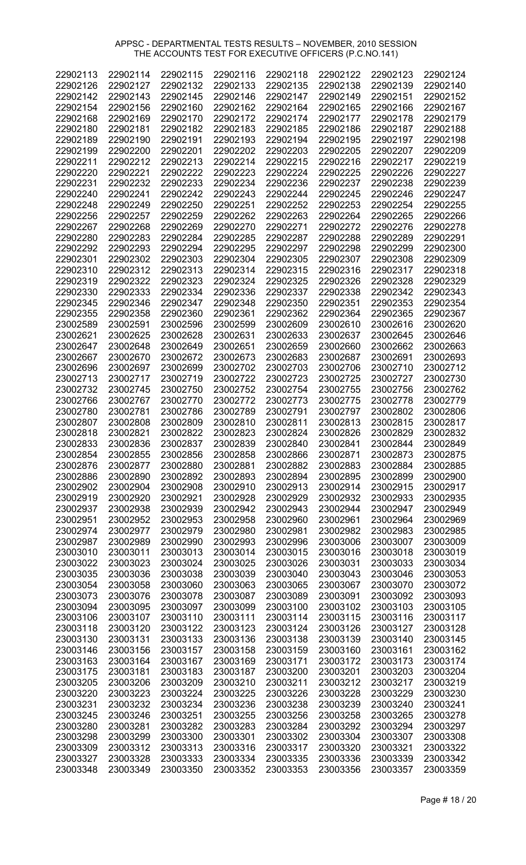| 22902113 | 22902114 | 22902115 | 22902116 | 22902118 | 22902122 | 22902123 | 22902124 |
|----------|----------|----------|----------|----------|----------|----------|----------|
| 22902126 | 22902127 | 22902132 | 22902133 | 22902135 | 22902138 | 22902139 | 22902140 |
| 22902142 | 22902143 | 22902145 | 22902146 | 22902147 | 22902149 | 22902151 | 22902152 |
| 22902154 | 22902156 | 22902160 | 22902162 | 22902164 | 22902165 | 22902166 | 22902167 |
| 22902168 | 22902169 | 22902170 | 22902172 | 22902174 | 22902177 | 22902178 | 22902179 |
| 22902180 | 22902181 | 22902182 | 22902183 | 22902185 | 22902186 | 22902187 | 22902188 |
| 22902189 | 22902190 | 22902191 | 22902193 | 22902194 | 22902195 | 22902197 | 22902198 |
| 22902199 | 22902200 | 22902201 | 22902202 | 22902203 | 22902205 | 22902207 | 22902209 |
|          |          |          |          |          |          |          |          |
| 22902211 | 22902212 | 22902213 | 22902214 | 22902215 | 22902216 | 22902217 | 22902219 |
| 22902220 | 22902221 | 22902222 | 22902223 | 22902224 | 22902225 | 22902226 | 22902227 |
| 22902231 | 22902232 | 22902233 | 22902234 | 22902236 | 22902237 | 22902238 | 22902239 |
| 22902240 | 22902241 | 22902242 | 22902243 | 22902244 | 22902245 | 22902246 | 22902247 |
| 22902248 | 22902249 | 22902250 | 22902251 | 22902252 | 22902253 | 22902254 | 22902255 |
| 22902256 | 22902257 | 22902259 | 22902262 | 22902263 | 22902264 | 22902265 | 22902266 |
| 22902267 | 22902268 | 22902269 | 22902270 | 22902271 | 22902272 | 22902276 | 22902278 |
| 22902280 | 22902283 | 22902284 | 22902285 | 22902287 | 22902288 | 22902289 | 22902291 |
| 22902292 | 22902293 | 22902294 | 22902295 | 22902297 | 22902298 | 22902299 | 22902300 |
| 22902301 | 22902302 | 22902303 | 22902304 | 22902305 | 22902307 | 22902308 | 22902309 |
| 22902310 | 22902312 | 22902313 | 22902314 | 22902315 | 22902316 | 22902317 | 22902318 |
| 22902319 | 22902322 | 22902323 | 22902324 | 22902325 | 22902326 | 22902328 | 22902329 |
| 22902330 | 22902333 | 22902334 | 22902336 | 22902337 | 22902338 | 22902342 | 22902343 |
| 22902345 | 22902346 | 22902347 | 22902348 | 22902350 | 22902351 | 22902353 | 22902354 |
| 22902355 | 22902358 | 22902360 | 22902361 | 22902362 | 22902364 | 22902365 | 22902367 |
| 23002589 | 23002591 | 23002596 | 23002599 | 23002609 | 23002610 | 23002616 | 23002620 |
| 23002621 | 23002625 | 23002628 | 23002631 | 23002633 | 23002637 | 23002645 | 23002646 |
| 23002647 | 23002648 | 23002649 | 23002651 | 23002659 | 23002660 | 23002662 | 23002663 |
| 23002667 | 23002670 | 23002672 | 23002673 | 23002683 | 23002687 | 23002691 | 23002693 |
| 23002696 | 23002697 | 23002699 | 23002702 | 23002703 | 23002706 | 23002710 | 23002712 |
| 23002713 | 23002717 | 23002719 | 23002722 | 23002723 | 23002725 | 23002727 | 23002730 |
| 23002732 | 23002745 | 23002750 | 23002752 | 23002754 | 23002755 | 23002756 | 23002762 |
| 23002766 | 23002767 | 23002770 | 23002772 | 23002773 | 23002775 | 23002778 | 23002779 |
| 23002780 | 23002781 | 23002786 | 23002789 | 23002791 | 23002797 | 23002802 | 23002806 |
| 23002807 | 23002808 | 23002809 | 23002810 | 23002811 | 23002813 | 23002815 | 23002817 |
| 23002818 | 23002821 | 23002822 | 23002823 | 23002824 | 23002826 | 23002829 | 23002832 |
| 23002833 | 23002836 | 23002837 | 23002839 | 23002840 | 23002841 | 23002844 | 23002849 |
| 23002854 | 23002855 | 23002856 | 23002858 | 23002866 | 23002871 | 23002873 | 23002875 |
| 23002876 | 23002877 | 23002880 | 23002881 | 23002882 | 23002883 | 23002884 | 23002885 |
| 23002886 | 23002890 | 23002892 | 23002893 | 23002894 | 23002895 | 23002899 | 23002900 |
| 23002902 | 23002904 | 23002908 | 23002910 | 23002913 | 23002914 | 23002915 | 23002917 |
| 23002919 | 23002920 | 23002921 | 23002928 | 23002929 | 23002932 | 23002933 | 23002935 |
| 23002937 | 23002938 | 23002939 | 23002942 | 23002943 | 23002944 | 23002947 | 23002949 |
| 23002951 | 23002952 | 23002953 | 23002958 | 23002960 | 23002961 | 23002964 | 23002969 |
| 23002974 | 23002977 | 23002979 | 23002980 | 23002981 | 23002982 | 23002983 | 23002985 |
| 23002987 | 23002989 | 23002990 | 23002993 | 23002996 | 23003006 | 23003007 | 23003009 |
| 23003010 | 23003011 | 23003013 | 23003014 | 23003015 | 23003016 | 23003018 | 23003019 |
| 23003022 | 23003023 | 23003024 | 23003025 | 23003026 | 23003031 | 23003033 | 23003034 |
| 23003035 | 23003036 | 23003038 | 23003039 | 23003040 | 23003043 | 23003046 | 23003053 |
| 23003054 | 23003058 | 23003060 | 23003063 | 23003065 | 23003067 | 23003070 | 23003072 |
| 23003073 | 23003076 | 23003078 | 23003087 | 23003089 | 23003091 | 23003092 | 23003093 |
| 23003094 | 23003095 | 23003097 | 23003099 | 23003100 | 23003102 | 23003103 | 23003105 |
| 23003106 | 23003107 | 23003110 | 23003111 | 23003114 | 23003115 | 23003116 | 23003117 |
| 23003118 | 23003120 | 23003122 | 23003123 | 23003124 | 23003126 | 23003127 | 23003128 |
| 23003130 | 23003131 | 23003133 | 23003136 | 23003138 | 23003139 | 23003140 | 23003145 |
|          |          |          |          |          |          |          |          |
| 23003146 | 23003156 | 23003157 | 23003158 | 23003159 | 23003160 | 23003161 | 23003162 |
| 23003163 | 23003164 | 23003167 | 23003169 | 23003171 | 23003172 | 23003173 | 23003174 |
| 23003175 | 23003181 | 23003183 | 23003187 | 23003200 | 23003201 | 23003203 | 23003204 |
| 23003205 | 23003206 | 23003209 | 23003210 | 23003211 | 23003212 | 23003217 | 23003219 |
| 23003220 | 23003223 | 23003224 | 23003225 | 23003226 | 23003228 | 23003229 | 23003230 |
| 23003231 | 23003232 | 23003234 | 23003236 | 23003238 | 23003239 | 23003240 | 23003241 |
| 23003245 | 23003246 | 23003251 | 23003255 | 23003256 | 23003258 | 23003265 | 23003278 |
| 23003280 | 23003281 | 23003282 | 23003283 | 23003284 | 23003292 | 23003294 | 23003297 |
| 23003298 | 23003299 | 23003300 | 23003301 | 23003302 | 23003304 | 23003307 | 23003308 |
| 23003309 | 23003312 | 23003313 | 23003316 | 23003317 | 23003320 | 23003321 | 23003322 |
| 23003327 | 23003328 | 23003333 | 23003334 | 23003335 | 23003336 | 23003339 | 23003342 |
| 23003348 | 23003349 | 23003350 | 23003352 | 23003353 | 23003356 | 23003357 | 23003359 |

Page # 18 / 20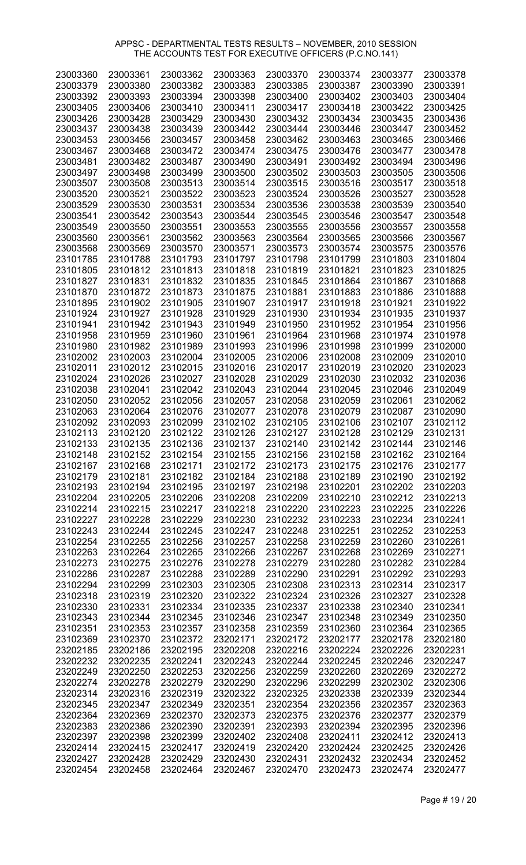| 23003360 | 23003361 | 23003362 | 23003363 | 23003370 | 23003374 | 23003377 | 23003378 |
|----------|----------|----------|----------|----------|----------|----------|----------|
| 23003379 | 23003380 | 23003382 | 23003383 | 23003385 | 23003387 | 23003390 | 23003391 |
| 23003392 | 23003393 | 23003394 | 23003398 | 23003400 | 23003402 | 23003403 | 23003404 |
|          |          |          |          |          |          |          |          |
| 23003405 | 23003406 | 23003410 | 23003411 | 23003417 | 23003418 | 23003422 | 23003425 |
| 23003426 | 23003428 | 23003429 | 23003430 | 23003432 | 23003434 | 23003435 | 23003436 |
| 23003437 | 23003438 | 23003439 | 23003442 | 23003444 | 23003446 | 23003447 | 23003452 |
|          |          |          |          |          |          |          |          |
| 23003453 | 23003456 | 23003457 | 23003458 | 23003462 | 23003463 | 23003465 | 23003466 |
| 23003467 | 23003468 | 23003472 | 23003474 | 23003475 | 23003476 | 23003477 | 23003478 |
| 23003481 | 23003482 | 23003487 | 23003490 | 23003491 | 23003492 | 23003494 | 23003496 |
|          |          |          |          |          |          |          |          |
| 23003497 | 23003498 | 23003499 | 23003500 | 23003502 | 23003503 | 23003505 | 23003506 |
| 23003507 | 23003508 | 23003513 | 23003514 | 23003515 | 23003516 | 23003517 | 23003518 |
| 23003520 | 23003521 | 23003522 | 23003523 | 23003524 | 23003526 | 23003527 | 23003528 |
|          |          |          |          |          |          |          |          |
| 23003529 | 23003530 | 23003531 | 23003534 | 23003536 | 23003538 | 23003539 | 23003540 |
| 23003541 | 23003542 | 23003543 | 23003544 | 23003545 | 23003546 | 23003547 | 23003548 |
| 23003549 | 23003550 | 23003551 | 23003553 | 23003555 | 23003556 | 23003557 | 23003558 |
|          |          |          |          |          |          |          |          |
| 23003560 | 23003561 | 23003562 | 23003563 | 23003564 | 23003565 | 23003566 | 23003567 |
| 23003568 | 23003569 | 23003570 | 23003571 | 23003573 | 23003574 | 23003575 | 23003576 |
| 23101785 | 23101788 | 23101793 | 23101797 | 23101798 | 23101799 | 23101803 | 23101804 |
|          |          |          |          |          |          |          |          |
| 23101805 | 23101812 | 23101813 | 23101818 | 23101819 | 23101821 | 23101823 | 23101825 |
| 23101827 | 23101831 | 23101832 | 23101835 | 23101845 | 23101864 | 23101867 | 23101868 |
| 23101870 | 23101872 | 23101873 | 23101875 | 23101881 | 23101883 | 23101886 | 23101888 |
|          |          | 23101905 |          |          |          | 23101921 | 23101922 |
| 23101895 | 23101902 |          | 23101907 | 23101917 | 23101918 |          |          |
| 23101924 | 23101927 | 23101928 | 23101929 | 23101930 | 23101934 | 23101935 | 23101937 |
| 23101941 | 23101942 | 23101943 | 23101949 | 23101950 | 23101952 | 23101954 | 23101956 |
| 23101958 | 23101959 | 23101960 | 23101961 | 23101964 | 23101968 | 23101974 | 23101978 |
|          |          |          |          |          |          |          |          |
| 23101980 | 23101982 | 23101989 | 23101993 | 23101996 | 23101998 | 23101999 | 23102000 |
| 23102002 | 23102003 | 23102004 | 23102005 | 23102006 | 23102008 | 23102009 | 23102010 |
| 23102011 | 23102012 | 23102015 | 23102016 | 23102017 | 23102019 | 23102020 | 23102023 |
|          |          |          |          |          |          |          |          |
| 23102024 | 23102026 | 23102027 | 23102028 | 23102029 | 23102030 | 23102032 | 23102036 |
| 23102038 | 23102041 | 23102042 | 23102043 | 23102044 | 23102045 | 23102046 | 23102049 |
| 23102050 | 23102052 | 23102056 | 23102057 | 23102058 | 23102059 | 23102061 | 23102062 |
|          |          |          |          |          |          |          |          |
| 23102063 | 23102064 | 23102076 | 23102077 | 23102078 | 23102079 | 23102087 | 23102090 |
| 23102092 | 23102093 | 23102099 | 23102102 | 23102105 | 23102106 | 23102107 | 23102112 |
| 23102113 | 23102120 | 23102122 | 23102126 | 23102127 | 23102128 | 23102129 | 23102131 |
| 23102133 | 23102135 | 23102136 | 23102137 | 23102140 | 23102142 | 23102144 | 23102146 |
|          |          |          |          |          |          |          |          |
| 23102148 | 23102152 | 23102154 | 23102155 | 23102156 | 23102158 | 23102162 | 23102164 |
| 23102167 | 23102168 | 23102171 | 23102172 | 23102173 | 23102175 | 23102176 | 23102177 |
| 23102179 | 23102181 | 23102182 | 23102184 | 23102188 | 23102189 | 23102190 | 23102192 |
|          |          |          |          |          |          |          |          |
| 23102193 | 23102194 | 23102195 | 23102197 | 23102198 | 23102201 | 23102202 | 23102203 |
| 23102204 | 23102205 | 23102206 | 23102208 | 23102209 | 23102210 | 23102212 | 23102213 |
| 23102214 | 23102215 | 23102217 | 23102218 | 23102220 | 23102223 | 23102225 | 23102226 |
|          |          |          |          |          |          |          |          |
| 23102227 | 23102228 | 23102229 | 23102230 | 23102232 | 23102233 | 23102234 | 23102241 |
| 23102243 | 23102244 | 23102245 | 23102247 | 23102248 | 23102251 | 23102252 | 23102253 |
| 23102254 | 23102255 | 23102256 | 23102257 | 23102258 | 23102259 | 23102260 | 23102261 |
|          |          | 23102265 |          | 23102267 | 23102268 |          | 23102271 |
| 23102263 | 23102264 |          | 23102266 |          |          | 23102269 |          |
| 23102273 | 23102275 | 23102276 | 23102278 | 23102279 | 23102280 | 23102282 | 23102284 |
| 23102286 | 23102287 | 23102288 | 23102289 | 23102290 | 23102291 | 23102292 | 23102293 |
| 23102294 | 23102299 | 23102303 | 23102305 | 23102308 | 23102313 | 23102314 | 23102317 |
|          |          |          |          |          |          |          |          |
| 23102318 | 23102319 | 23102320 | 23102322 | 23102324 | 23102326 | 23102327 | 23102328 |
| 23102330 | 23102331 | 23102334 | 23102335 | 23102337 | 23102338 | 23102340 | 23102341 |
| 23102343 | 23102344 | 23102345 | 23102346 | 23102347 | 23102348 | 23102349 | 23102350 |
|          |          |          |          |          |          |          |          |
| 23102351 | 23102353 | 23102357 | 23102358 | 23102359 | 23102360 | 23102364 | 23102365 |
| 23102369 | 23102370 | 23102372 | 23202171 | 23202172 | 23202177 | 23202178 | 23202180 |
| 23202185 | 23202186 | 23202195 | 23202208 | 23202216 | 23202224 | 23202226 | 23202231 |
|          |          |          |          |          |          |          |          |
| 23202232 | 23202235 | 23202241 | 23202243 | 23202244 | 23202245 | 23202246 | 23202247 |
| 23202249 | 23202250 | 23202253 | 23202256 | 23202259 | 23202260 | 23202269 | 23202272 |
| 23202274 | 23202278 | 23202279 | 23202290 | 23202296 | 23202299 | 23202302 | 23202306 |
| 23202314 | 23202316 | 23202319 | 23202322 | 23202325 | 23202338 | 23202339 | 23202344 |
|          |          |          |          |          |          |          |          |
| 23202345 | 23202347 | 23202349 | 23202351 | 23202354 | 23202356 | 23202357 | 23202363 |
| 23202364 | 23202369 | 23202370 | 23202373 | 23202375 | 23202376 | 23202377 | 23202379 |
| 23202383 | 23202386 | 23202390 | 23202391 | 23202393 | 23202394 | 23202395 | 23202396 |
|          |          |          |          |          |          |          |          |
| 23202397 | 23202398 | 23202399 | 23202402 | 23202408 | 23202411 | 23202412 | 23202413 |
| 23202414 | 23202415 | 23202417 | 23202419 | 23202420 | 23202424 | 23202425 | 23202426 |
| 23202427 | 23202428 | 23202429 | 23202430 | 23202431 | 23202432 | 23202434 | 23202452 |
|          |          |          |          |          |          |          |          |
| 23202454 | 23202458 | 23202464 | 23202467 | 23202470 | 23202473 | 23202474 | 23202477 |

Page # 19 / 20